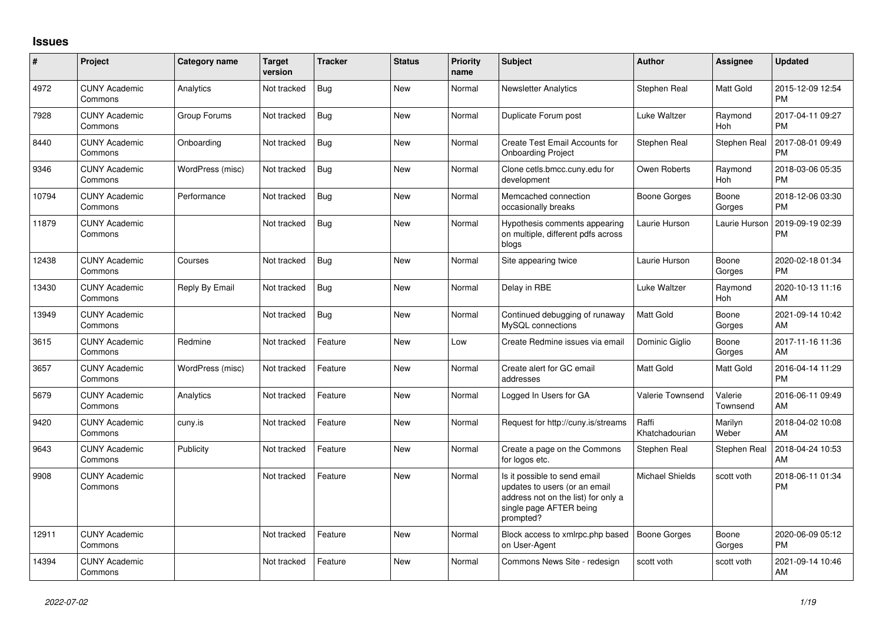## **Issues**

| #     | Project                         | <b>Category name</b> | <b>Target</b><br>version | <b>Tracker</b> | <b>Status</b> | <b>Priority</b><br>name | <b>Subject</b>                                                                                                                               | <b>Author</b>           | Assignee            | <b>Updated</b>                |
|-------|---------------------------------|----------------------|--------------------------|----------------|---------------|-------------------------|----------------------------------------------------------------------------------------------------------------------------------------------|-------------------------|---------------------|-------------------------------|
| 4972  | <b>CUNY Academic</b><br>Commons | Analytics            | Not tracked              | Bug            | <b>New</b>    | Normal                  | <b>Newsletter Analytics</b>                                                                                                                  | Stephen Real            | Matt Gold           | 2015-12-09 12:54<br><b>PM</b> |
| 7928  | <b>CUNY Academic</b><br>Commons | Group Forums         | Not tracked              | Bug            | <b>New</b>    | Normal                  | Duplicate Forum post                                                                                                                         | Luke Waltzer            | Raymond<br>Hoh      | 2017-04-11 09:27<br><b>PM</b> |
| 8440  | <b>CUNY Academic</b><br>Commons | Onboarding           | Not tracked              | Bug            | <b>New</b>    | Normal                  | Create Test Email Accounts for<br><b>Onboarding Project</b>                                                                                  | Stephen Real            | Stephen Real        | 2017-08-01 09:49<br><b>PM</b> |
| 9346  | <b>CUNY Academic</b><br>Commons | WordPress (misc)     | Not tracked              | Bug            | <b>New</b>    | Normal                  | Clone cetls.bmcc.cuny.edu for<br>development                                                                                                 | Owen Roberts            | Raymond<br>Hoh      | 2018-03-06 05:35<br><b>PM</b> |
| 10794 | <b>CUNY Academic</b><br>Commons | Performance          | Not tracked              | <b>Bug</b>     | New           | Normal                  | Memcached connection<br>occasionally breaks                                                                                                  | Boone Gorges            | Boone<br>Gorges     | 2018-12-06 03:30<br><b>PM</b> |
| 11879 | <b>CUNY Academic</b><br>Commons |                      | Not tracked              | Bug            | New           | Normal                  | Hypothesis comments appearing<br>on multiple, different pdfs across<br>blogs                                                                 | Laurie Hurson           | Laurie Hurson       | 2019-09-19 02:39<br><b>PM</b> |
| 12438 | <b>CUNY Academic</b><br>Commons | Courses              | Not tracked              | Bug            | <b>New</b>    | Normal                  | Site appearing twice                                                                                                                         | Laurie Hurson           | Boone<br>Gorges     | 2020-02-18 01:34<br><b>PM</b> |
| 13430 | <b>CUNY Academic</b><br>Commons | Reply By Email       | Not tracked              | Bug            | <b>New</b>    | Normal                  | Delay in RBE                                                                                                                                 | Luke Waltzer            | Raymond<br>Hoh      | 2020-10-13 11:16<br>AM        |
| 13949 | <b>CUNY Academic</b><br>Commons |                      | Not tracked              | Bug            | <b>New</b>    | Normal                  | Continued debugging of runaway<br>MySQL connections                                                                                          | Matt Gold               | Boone<br>Gorges     | 2021-09-14 10:42<br>AM        |
| 3615  | <b>CUNY Academic</b><br>Commons | Redmine              | Not tracked              | Feature        | <b>New</b>    | Low                     | Create Redmine issues via email                                                                                                              | Dominic Giglio          | Boone<br>Gorges     | 2017-11-16 11:36<br><b>AM</b> |
| 3657  | <b>CUNY Academic</b><br>Commons | WordPress (misc)     | Not tracked              | Feature        | New           | Normal                  | Create alert for GC email<br>addresses                                                                                                       | Matt Gold               | Matt Gold           | 2016-04-14 11:29<br><b>PM</b> |
| 5679  | <b>CUNY Academic</b><br>Commons | Analytics            | Not tracked              | Feature        | <b>New</b>    | Normal                  | Logged In Users for GA                                                                                                                       | Valerie Townsend        | Valerie<br>Townsend | 2016-06-11 09:49<br>AM        |
| 9420  | <b>CUNY Academic</b><br>Commons | cuny.is              | Not tracked              | Feature        | <b>New</b>    | Normal                  | Request for http://cuny.is/streams                                                                                                           | Raffi<br>Khatchadourian | Marilyn<br>Weber    | 2018-04-02 10:08<br>AM        |
| 9643  | <b>CUNY Academic</b><br>Commons | Publicity            | Not tracked              | Feature        | New           | Normal                  | Create a page on the Commons<br>for logos etc.                                                                                               | Stephen Real            | Stephen Real        | 2018-04-24 10:53<br>AM        |
| 9908  | <b>CUNY Academic</b><br>Commons |                      | Not tracked              | Feature        | <b>New</b>    | Normal                  | Is it possible to send email<br>updates to users (or an email<br>address not on the list) for only a<br>single page AFTER being<br>prompted? | <b>Michael Shields</b>  | scott voth          | 2018-06-11 01:34<br><b>PM</b> |
| 12911 | <b>CUNY Academic</b><br>Commons |                      | Not tracked              | Feature        | New           | Normal                  | Block access to xmlrpc.php based<br>on User-Agent                                                                                            | <b>Boone Gorges</b>     | Boone<br>Gorges     | 2020-06-09 05:12<br>PM.       |
| 14394 | <b>CUNY Academic</b><br>Commons |                      | Not tracked              | Feature        | <b>New</b>    | Normal                  | Commons News Site - redesign                                                                                                                 | scott voth              | scott voth          | 2021-09-14 10:46<br>AM        |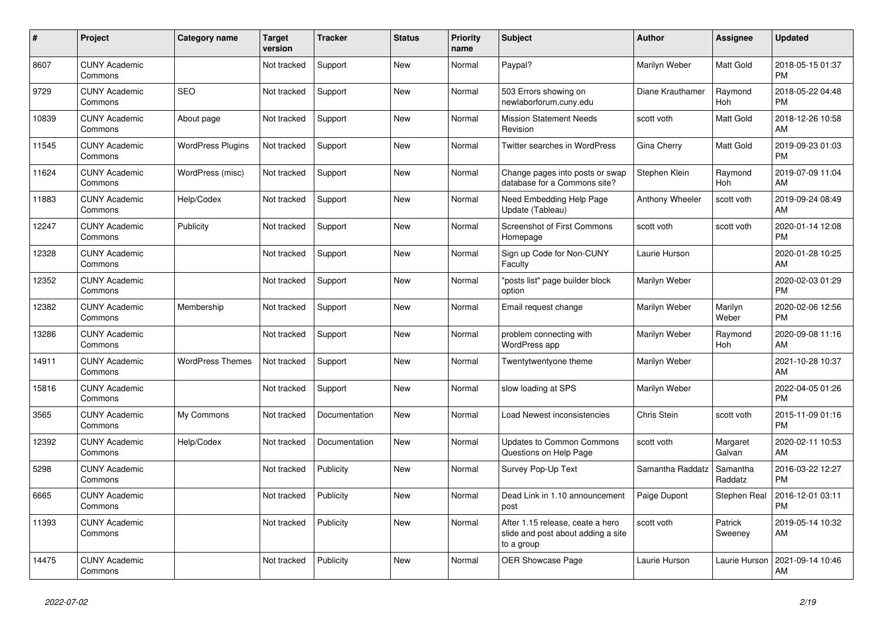| #     | <b>Project</b>                  | Category name            | <b>Target</b><br>version | <b>Tracker</b> | <b>Status</b> | <b>Priority</b><br>name | <b>Subject</b>                                                                       | <b>Author</b>    | Assignee            | <b>Updated</b>                |
|-------|---------------------------------|--------------------------|--------------------------|----------------|---------------|-------------------------|--------------------------------------------------------------------------------------|------------------|---------------------|-------------------------------|
| 8607  | <b>CUNY Academic</b><br>Commons |                          | Not tracked              | Support        | New           | Normal                  | Paypal?                                                                              | Marilyn Weber    | Matt Gold           | 2018-05-15 01:37<br><b>PM</b> |
| 9729  | <b>CUNY Academic</b><br>Commons | <b>SEO</b>               | Not tracked              | Support        | New           | Normal                  | 503 Errors showing on<br>newlaborforum.cuny.edu                                      | Diane Krauthamer | Raymond<br>Hoh      | 2018-05-22 04:48<br><b>PM</b> |
| 10839 | <b>CUNY Academic</b><br>Commons | About page               | Not tracked              | Support        | <b>New</b>    | Normal                  | <b>Mission Statement Needs</b><br>Revision                                           | scott voth       | Matt Gold           | 2018-12-26 10:58<br>AM        |
| 11545 | <b>CUNY Academic</b><br>Commons | <b>WordPress Plugins</b> | Not tracked              | Support        | <b>New</b>    | Normal                  | Twitter searches in WordPress                                                        | Gina Cherry      | Matt Gold           | 2019-09-23 01:03<br><b>PM</b> |
| 11624 | <b>CUNY Academic</b><br>Commons | WordPress (misc)         | Not tracked              | Support        | New           | Normal                  | Change pages into posts or swap<br>database for a Commons site?                      | Stephen Klein    | Raymond<br>Hoh      | 2019-07-09 11:04<br>AM        |
| 11883 | <b>CUNY Academic</b><br>Commons | Help/Codex               | Not tracked              | Support        | New           | Normal                  | Need Embedding Help Page<br>Update (Tableau)                                         | Anthony Wheeler  | scott voth          | 2019-09-24 08:49<br>AM        |
| 12247 | <b>CUNY Academic</b><br>Commons | Publicity                | Not tracked              | Support        | <b>New</b>    | Normal                  | <b>Screenshot of First Commons</b><br>Homepage                                       | scott voth       | scott voth          | 2020-01-14 12:08<br><b>PM</b> |
| 12328 | <b>CUNY Academic</b><br>Commons |                          | Not tracked              | Support        | New           | Normal                  | Sign up Code for Non-CUNY<br>Faculty                                                 | Laurie Hurson    |                     | 2020-01-28 10:25<br>AM        |
| 12352 | <b>CUNY Academic</b><br>Commons |                          | Not tracked              | Support        | <b>New</b>    | Normal                  | "posts list" page builder block<br>option                                            | Marilyn Weber    |                     | 2020-02-03 01:29<br><b>PM</b> |
| 12382 | <b>CUNY Academic</b><br>Commons | Membership               | Not tracked              | Support        | <b>New</b>    | Normal                  | Email request change                                                                 | Marilyn Weber    | Marilyn<br>Weber    | 2020-02-06 12:56<br><b>PM</b> |
| 13286 | <b>CUNY Academic</b><br>Commons |                          | Not tracked              | Support        | New           | Normal                  | problem connecting with<br><b>WordPress app</b>                                      | Marilyn Weber    | Raymond<br>Hoh      | 2020-09-08 11:16<br>AM        |
| 14911 | <b>CUNY Academic</b><br>Commons | <b>WordPress Themes</b>  | Not tracked              | Support        | New           | Normal                  | Twentytwentyone theme                                                                | Marilyn Weber    |                     | 2021-10-28 10:37<br>AM        |
| 15816 | <b>CUNY Academic</b><br>Commons |                          | Not tracked              | Support        | <b>New</b>    | Normal                  | slow loading at SPS                                                                  | Marilyn Weber    |                     | 2022-04-05 01:26<br><b>PM</b> |
| 3565  | <b>CUNY Academic</b><br>Commons | My Commons               | Not tracked              | Documentation  | <b>New</b>    | Normal                  | Load Newest inconsistencies                                                          | Chris Stein      | scott voth          | 2015-11-09 01:16<br><b>PM</b> |
| 12392 | <b>CUNY Academic</b><br>Commons | Help/Codex               | Not tracked              | Documentation  | New           | Normal                  | Updates to Common Commons<br>Questions on Help Page                                  | scott voth       | Margaret<br>Galvan  | 2020-02-11 10:53<br>AM        |
| 5298  | <b>CUNY Academic</b><br>Commons |                          | Not tracked              | Publicity      | New           | Normal                  | Survey Pop-Up Text                                                                   | Samantha Raddatz | Samantha<br>Raddatz | 2016-03-22 12:27<br><b>PM</b> |
| 6665  | <b>CUNY Academic</b><br>Commons |                          | Not tracked              | Publicity      | <b>New</b>    | Normal                  | Dead Link in 1.10 announcement<br>post                                               | Paige Dupont     | Stephen Real        | 2016-12-01 03:11<br><b>PM</b> |
| 11393 | <b>CUNY Academic</b><br>Commons |                          | Not tracked              | Publicity      | New           | Normal                  | After 1.15 release, ceate a hero<br>slide and post about adding a site<br>to a group | scott voth       | Patrick<br>Sweeney  | 2019-05-14 10:32<br>AM        |
| 14475 | <b>CUNY Academic</b><br>Commons |                          | Not tracked              | Publicity      | <b>New</b>    | Normal                  | <b>OER Showcase Page</b>                                                             | Laurie Hurson    | Laurie Hurson       | 2021-09-14 10:46<br>AM        |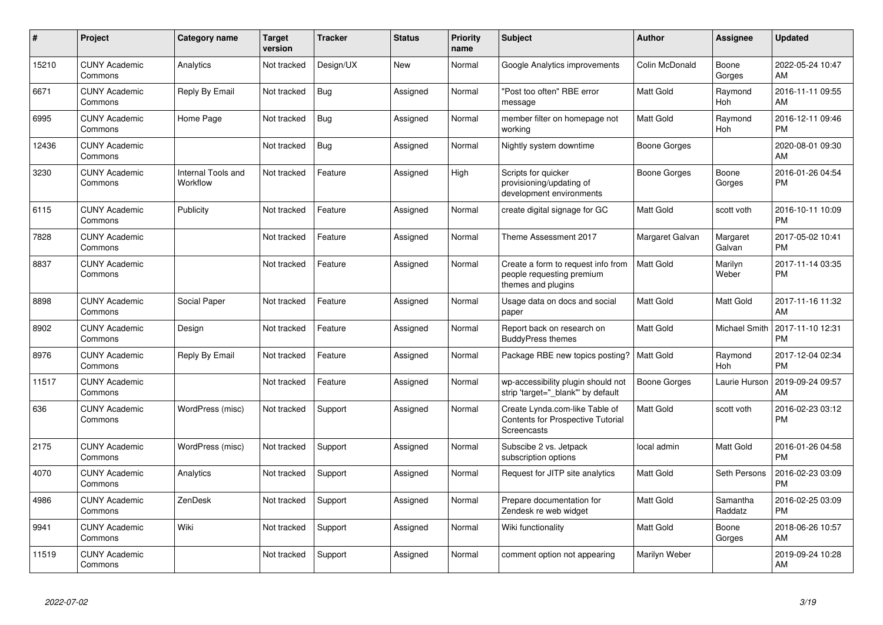| #     | Project                         | <b>Category name</b>           | <b>Target</b><br>version | <b>Tracker</b> | <b>Status</b> | <b>Priority</b><br>name | <b>Subject</b>                                                                        | <b>Author</b>   | <b>Assignee</b>       | <b>Updated</b>                |
|-------|---------------------------------|--------------------------------|--------------------------|----------------|---------------|-------------------------|---------------------------------------------------------------------------------------|-----------------|-----------------------|-------------------------------|
| 15210 | <b>CUNY Academic</b><br>Commons | Analytics                      | Not tracked              | Design/UX      | <b>New</b>    | Normal                  | Google Analytics improvements                                                         | Colin McDonald  | Boone<br>Gorges       | 2022-05-24 10:47<br>AM        |
| 6671  | <b>CUNY Academic</b><br>Commons | Reply By Email                 | Not tracked              | Bug            | Assigned      | Normal                  | "Post too often" RBE error<br>message                                                 | Matt Gold       | Raymond<br><b>Hoh</b> | 2016-11-11 09:55<br>AM        |
| 6995  | <b>CUNY Academic</b><br>Commons | Home Page                      | Not tracked              | Bug            | Assigned      | Normal                  | member filter on homepage not<br>working                                              | Matt Gold       | Raymond<br>Hoh        | 2016-12-11 09:46<br>PM        |
| 12436 | <b>CUNY Academic</b><br>Commons |                                | Not tracked              | Bug            | Assigned      | Normal                  | Nightly system downtime                                                               | Boone Gorges    |                       | 2020-08-01 09:30<br>AM        |
| 3230  | <b>CUNY Academic</b><br>Commons | Internal Tools and<br>Workflow | Not tracked              | Feature        | Assigned      | High                    | Scripts for quicker<br>provisioning/updating of<br>development environments           | Boone Gorges    | Boone<br>Gorges       | 2016-01-26 04:54<br><b>PM</b> |
| 6115  | <b>CUNY Academic</b><br>Commons | Publicity                      | Not tracked              | Feature        | Assigned      | Normal                  | create digital signage for GC                                                         | Matt Gold       | scott voth            | 2016-10-11 10:09<br><b>PM</b> |
| 7828  | <b>CUNY Academic</b><br>Commons |                                | Not tracked              | Feature        | Assigned      | Normal                  | Theme Assessment 2017                                                                 | Margaret Galvan | Margaret<br>Galvan    | 2017-05-02 10:41<br><b>PM</b> |
| 8837  | <b>CUNY Academic</b><br>Commons |                                | Not tracked              | Feature        | Assigned      | Normal                  | Create a form to request info from<br>people requesting premium<br>themes and plugins | Matt Gold       | Marilyn<br>Weber      | 2017-11-14 03:35<br><b>PM</b> |
| 8898  | <b>CUNY Academic</b><br>Commons | Social Paper                   | Not tracked              | Feature        | Assigned      | Normal                  | Usage data on docs and social<br>paper                                                | Matt Gold       | Matt Gold             | 2017-11-16 11:32<br>AM        |
| 8902  | <b>CUNY Academic</b><br>Commons | Design                         | Not tracked              | Feature        | Assigned      | Normal                  | Report back on research on<br><b>BuddyPress themes</b>                                | Matt Gold       | Michael Smith         | 2017-11-10 12:31<br><b>PM</b> |
| 8976  | <b>CUNY Academic</b><br>Commons | Reply By Email                 | Not tracked              | Feature        | Assigned      | Normal                  | Package RBE new topics posting?   Matt Gold                                           |                 | Raymond<br><b>Hoh</b> | 2017-12-04 02:34<br><b>PM</b> |
| 11517 | <b>CUNY Academic</b><br>Commons |                                | Not tracked              | Feature        | Assigned      | Normal                  | wp-accessibility plugin should not<br>strip 'target="_blank"' by default              | Boone Gorges    | Laurie Hurson         | 2019-09-24 09:57<br>AM        |
| 636   | <b>CUNY Academic</b><br>Commons | WordPress (misc)               | Not tracked              | Support        | Assigned      | Normal                  | Create Lynda.com-like Table of<br>Contents for Prospective Tutorial<br>Screencasts    | Matt Gold       | scott voth            | 2016-02-23 03:12<br><b>PM</b> |
| 2175  | <b>CUNY Academic</b><br>Commons | WordPress (misc)               | Not tracked              | Support        | Assigned      | Normal                  | Subscibe 2 vs. Jetpack<br>subscription options                                        | local admin     | Matt Gold             | 2016-01-26 04:58<br><b>PM</b> |
| 4070  | <b>CUNY Academic</b><br>Commons | Analytics                      | Not tracked              | Support        | Assigned      | Normal                  | Request for JITP site analytics                                                       | Matt Gold       | Seth Persons          | 2016-02-23 03:09<br><b>PM</b> |
| 4986  | <b>CUNY Academic</b><br>Commons | ZenDesk                        | Not tracked              | Support        | Assigned      | Normal                  | Prepare documentation for<br>Zendesk re web widget                                    | Matt Gold       | Samantha<br>Raddatz   | 2016-02-25 03:09<br><b>PM</b> |
| 9941  | <b>CUNY Academic</b><br>Commons | Wiki                           | Not tracked              | Support        | Assigned      | Normal                  | Wiki functionality                                                                    | Matt Gold       | Boone<br>Gorges       | 2018-06-26 10:57<br>AM        |
| 11519 | <b>CUNY Academic</b><br>Commons |                                | Not tracked              | Support        | Assigned      | Normal                  | comment option not appearing                                                          | Marilyn Weber   |                       | 2019-09-24 10:28<br>AM        |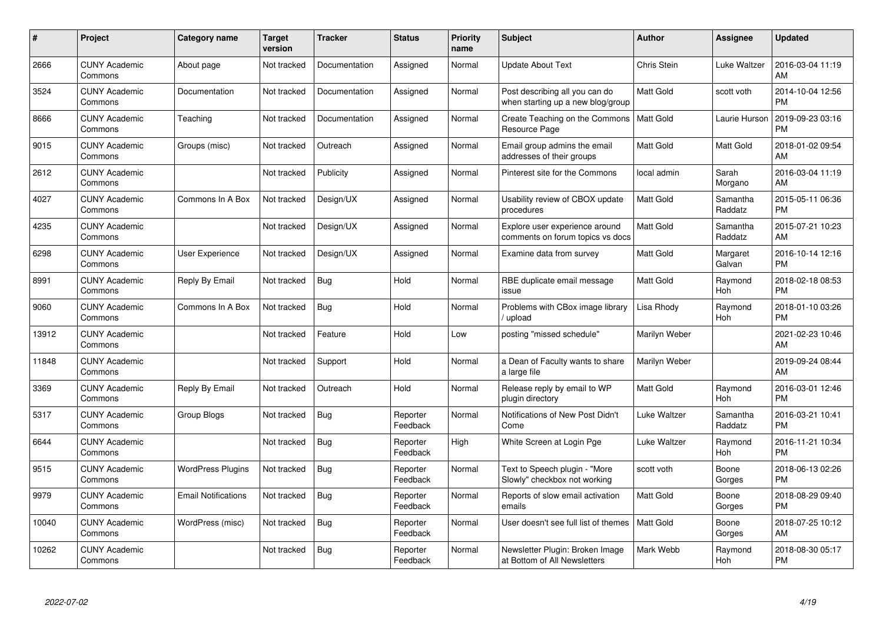| $\#$  | Project                         | <b>Category name</b>       | <b>Target</b><br>version | <b>Tracker</b> | <b>Status</b>        | Priority<br>name | <b>Subject</b>                                                      | <b>Author</b>    | <b>Assignee</b>     | <b>Updated</b>                |
|-------|---------------------------------|----------------------------|--------------------------|----------------|----------------------|------------------|---------------------------------------------------------------------|------------------|---------------------|-------------------------------|
| 2666  | <b>CUNY Academic</b><br>Commons | About page                 | Not tracked              | Documentation  | Assigned             | Normal           | <b>Update About Text</b>                                            | Chris Stein      | Luke Waltzer        | 2016-03-04 11:19<br>AM        |
| 3524  | <b>CUNY Academic</b><br>Commons | Documentation              | Not tracked              | Documentation  | Assigned             | Normal           | Post describing all you can do<br>when starting up a new blog/group | <b>Matt Gold</b> | scott voth          | 2014-10-04 12:56<br><b>PM</b> |
| 8666  | <b>CUNY Academic</b><br>Commons | Teaching                   | Not tracked              | Documentation  | Assigned             | Normal           | Create Teaching on the Commons<br>Resource Page                     | <b>Matt Gold</b> | Laurie Hurson       | 2019-09-23 03:16<br><b>PM</b> |
| 9015  | <b>CUNY Academic</b><br>Commons | Groups (misc)              | Not tracked              | Outreach       | Assigned             | Normal           | Email group admins the email<br>addresses of their groups           | Matt Gold        | Matt Gold           | 2018-01-02 09:54<br>AM        |
| 2612  | <b>CUNY Academic</b><br>Commons |                            | Not tracked              | Publicity      | Assigned             | Normal           | Pinterest site for the Commons                                      | local admin      | Sarah<br>Morgano    | 2016-03-04 11:19<br>AM        |
| 4027  | <b>CUNY Academic</b><br>Commons | Commons In A Box           | Not tracked              | Design/UX      | Assigned             | Normal           | Usability review of CBOX update<br>procedures                       | <b>Matt Gold</b> | Samantha<br>Raddatz | 2015-05-11 06:36<br><b>PM</b> |
| 4235  | <b>CUNY Academic</b><br>Commons |                            | Not tracked              | Design/UX      | Assigned             | Normal           | Explore user experience around<br>comments on forum topics vs docs  | <b>Matt Gold</b> | Samantha<br>Raddatz | 2015-07-21 10:23<br>AM        |
| 6298  | <b>CUNY Academic</b><br>Commons | User Experience            | Not tracked              | Design/UX      | Assigned             | Normal           | Examine data from survey                                            | <b>Matt Gold</b> | Margaret<br>Galvan  | 2016-10-14 12:16<br><b>PM</b> |
| 8991  | <b>CUNY Academic</b><br>Commons | Reply By Email             | Not tracked              | Bug            | Hold                 | Normal           | RBE duplicate email message<br>issue                                | <b>Matt Gold</b> | Raymond<br>Hoh      | 2018-02-18 08:53<br><b>PM</b> |
| 9060  | <b>CUNY Academic</b><br>Commons | Commons In A Box           | Not tracked              | Bug            | Hold                 | Normal           | Problems with CBox image library<br>/ upload                        | Lisa Rhody       | Raymond<br>Hoh      | 2018-01-10 03:26<br><b>PM</b> |
| 13912 | <b>CUNY Academic</b><br>Commons |                            | Not tracked              | Feature        | Hold                 | Low              | posting "missed schedule"                                           | Marilyn Weber    |                     | 2021-02-23 10:46<br>AM        |
| 11848 | <b>CUNY Academic</b><br>Commons |                            | Not tracked              | Support        | Hold                 | Normal           | a Dean of Faculty wants to share<br>a large file                    | Marilyn Weber    |                     | 2019-09-24 08:44<br>AM        |
| 3369  | <b>CUNY Academic</b><br>Commons | Reply By Email             | Not tracked              | Outreach       | Hold                 | Normal           | Release reply by email to WP<br>plugin directory                    | Matt Gold        | Raymond<br>Hoh      | 2016-03-01 12:46<br><b>PM</b> |
| 5317  | <b>CUNY Academic</b><br>Commons | Group Blogs                | Not tracked              | Bug            | Reporter<br>Feedback | Normal           | Notifications of New Post Didn't<br>Come                            | Luke Waltzer     | Samantha<br>Raddatz | 2016-03-21 10:41<br><b>PM</b> |
| 6644  | <b>CUNY Academic</b><br>Commons |                            | Not tracked              | Bug            | Reporter<br>Feedback | High             | White Screen at Login Pge                                           | Luke Waltzer     | Raymond<br>Hoh      | 2016-11-21 10:34<br><b>PM</b> |
| 9515  | <b>CUNY Academic</b><br>Commons | <b>WordPress Plugins</b>   | Not tracked              | Bug            | Reporter<br>Feedback | Normal           | Text to Speech plugin - "More<br>Slowly" checkbox not working       | scott voth       | Boone<br>Gorges     | 2018-06-13 02:26<br><b>PM</b> |
| 9979  | <b>CUNY Academic</b><br>Commons | <b>Email Notifications</b> | Not tracked              | Bug            | Reporter<br>Feedback | Normal           | Reports of slow email activation<br>emails                          | <b>Matt Gold</b> | Boone<br>Gorges     | 2018-08-29 09:40<br><b>PM</b> |
| 10040 | <b>CUNY Academic</b><br>Commons | WordPress (misc)           | Not tracked              | Bug            | Reporter<br>Feedback | Normal           | User doesn't see full list of themes                                | <b>Matt Gold</b> | Boone<br>Gorges     | 2018-07-25 10:12<br>AM        |
| 10262 | <b>CUNY Academic</b><br>Commons |                            | Not tracked              | <b>Bug</b>     | Reporter<br>Feedback | Normal           | Newsletter Plugin: Broken Image<br>at Bottom of All Newsletters     | Mark Webb        | Raymond<br>Hoh      | 2018-08-30 05:17<br><b>PM</b> |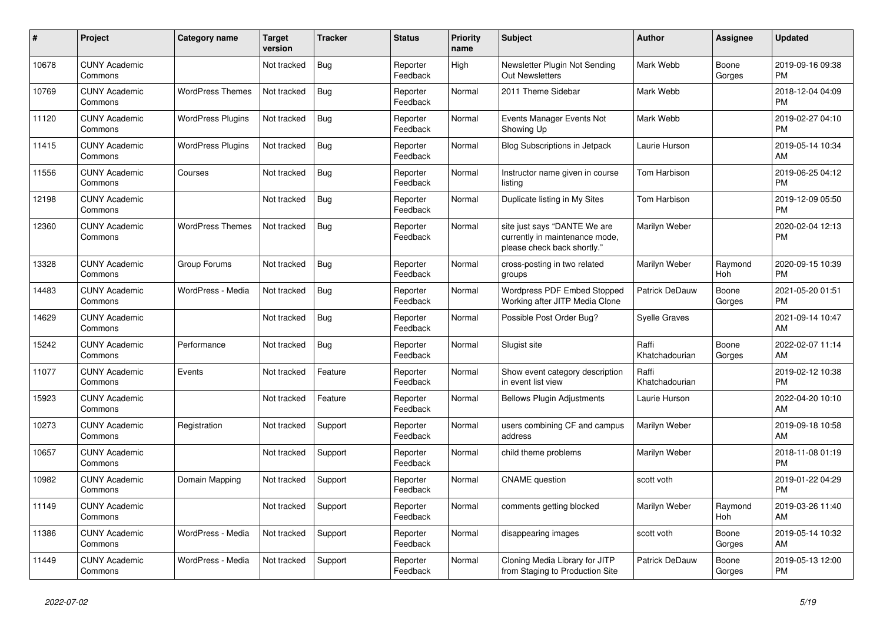| #     | Project                         | <b>Category name</b>     | <b>Target</b><br>version | <b>Tracker</b> | <b>Status</b>        | <b>Priority</b><br>name | <b>Subject</b>                                                                                | <b>Author</b>           | <b>Assignee</b> | <b>Updated</b>                |
|-------|---------------------------------|--------------------------|--------------------------|----------------|----------------------|-------------------------|-----------------------------------------------------------------------------------------------|-------------------------|-----------------|-------------------------------|
| 10678 | <b>CUNY Academic</b><br>Commons |                          | Not tracked              | <b>Bug</b>     | Reporter<br>Feedback | High                    | Newsletter Plugin Not Sending<br>Out Newsletters                                              | Mark Webb               | Boone<br>Gorges | 2019-09-16 09:38<br><b>PM</b> |
| 10769 | <b>CUNY Academic</b><br>Commons | <b>WordPress Themes</b>  | Not tracked              | <b>Bug</b>     | Reporter<br>Feedback | Normal                  | 2011 Theme Sidebar                                                                            | Mark Webb               |                 | 2018-12-04 04:09<br><b>PM</b> |
| 11120 | <b>CUNY Academic</b><br>Commons | <b>WordPress Plugins</b> | Not tracked              | <b>Bug</b>     | Reporter<br>Feedback | Normal                  | Events Manager Events Not<br>Showing Up                                                       | Mark Webb               |                 | 2019-02-27 04:10<br><b>PM</b> |
| 11415 | <b>CUNY Academic</b><br>Commons | <b>WordPress Plugins</b> | Not tracked              | <b>Bug</b>     | Reporter<br>Feedback | Normal                  | Blog Subscriptions in Jetpack                                                                 | Laurie Hurson           |                 | 2019-05-14 10:34<br>AM        |
| 11556 | <b>CUNY Academic</b><br>Commons | Courses                  | Not tracked              | <b>Bug</b>     | Reporter<br>Feedback | Normal                  | Instructor name given in course<br>listing                                                    | Tom Harbison            |                 | 2019-06-25 04:12<br><b>PM</b> |
| 12198 | <b>CUNY Academic</b><br>Commons |                          | Not tracked              | <b>Bug</b>     | Reporter<br>Feedback | Normal                  | Duplicate listing in My Sites                                                                 | Tom Harbison            |                 | 2019-12-09 05:50<br><b>PM</b> |
| 12360 | <b>CUNY Academic</b><br>Commons | <b>WordPress Themes</b>  | Not tracked              | Bug            | Reporter<br>Feedback | Normal                  | site just says "DANTE We are<br>currently in maintenance mode,<br>please check back shortly." | Marilyn Weber           |                 | 2020-02-04 12:13<br><b>PM</b> |
| 13328 | <b>CUNY Academic</b><br>Commons | Group Forums             | Not tracked              | <b>Bug</b>     | Reporter<br>Feedback | Normal                  | cross-posting in two related<br>groups                                                        | Marilyn Weber           | Raymond<br>Hoh  | 2020-09-15 10:39<br><b>PM</b> |
| 14483 | <b>CUNY Academic</b><br>Commons | WordPress - Media        | Not tracked              | Bug            | Reporter<br>Feedback | Normal                  | Wordpress PDF Embed Stopped<br>Working after JITP Media Clone                                 | Patrick DeDauw          | Boone<br>Gorges | 2021-05-20 01:51<br><b>PM</b> |
| 14629 | <b>CUNY Academic</b><br>Commons |                          | Not tracked              | <b>Bug</b>     | Reporter<br>Feedback | Normal                  | Possible Post Order Bug?                                                                      | <b>Syelle Graves</b>    |                 | 2021-09-14 10:47<br>AM        |
| 15242 | <b>CUNY Academic</b><br>Commons | Performance              | Not tracked              | <b>Bug</b>     | Reporter<br>Feedback | Normal                  | Slugist site                                                                                  | Raffi<br>Khatchadourian | Boone<br>Gorges | 2022-02-07 11:14<br>AM        |
| 11077 | <b>CUNY Academic</b><br>Commons | Events                   | Not tracked              | Feature        | Reporter<br>Feedback | Normal                  | Show event category description<br>in event list view                                         | Raffi<br>Khatchadourian |                 | 2019-02-12 10:38<br><b>PM</b> |
| 15923 | <b>CUNY Academic</b><br>Commons |                          | Not tracked              | Feature        | Reporter<br>Feedback | Normal                  | <b>Bellows Plugin Adjustments</b>                                                             | Laurie Hurson           |                 | 2022-04-20 10:10<br>AM        |
| 10273 | <b>CUNY Academic</b><br>Commons | Registration             | Not tracked              | Support        | Reporter<br>Feedback | Normal                  | users combining CF and campus<br>address                                                      | Marilyn Weber           |                 | 2019-09-18 10:58<br>AM        |
| 10657 | <b>CUNY Academic</b><br>Commons |                          | Not tracked              | Support        | Reporter<br>Feedback | Normal                  | child theme problems                                                                          | Marilyn Weber           |                 | 2018-11-08 01:19<br><b>PM</b> |
| 10982 | <b>CUNY Academic</b><br>Commons | Domain Mapping           | Not tracked              | Support        | Reporter<br>Feedback | Normal                  | <b>CNAME</b> question                                                                         | scott voth              |                 | 2019-01-22 04:29<br><b>PM</b> |
| 11149 | <b>CUNY Academic</b><br>Commons |                          | Not tracked              | Support        | Reporter<br>Feedback | Normal                  | comments getting blocked                                                                      | Marilyn Weber           | Raymond<br>Hoh  | 2019-03-26 11:40<br>AM        |
| 11386 | <b>CUNY Academic</b><br>Commons | WordPress - Media        | Not tracked              | Support        | Reporter<br>Feedback | Normal                  | disappearing images                                                                           | scott voth              | Boone<br>Gorges | 2019-05-14 10:32<br>AM        |
| 11449 | <b>CUNY Academic</b><br>Commons | WordPress - Media        | Not tracked              | Support        | Reporter<br>Feedback | Normal                  | Cloning Media Library for JITP<br>from Staging to Production Site                             | <b>Patrick DeDauw</b>   | Boone<br>Gorges | 2019-05-13 12:00<br><b>PM</b> |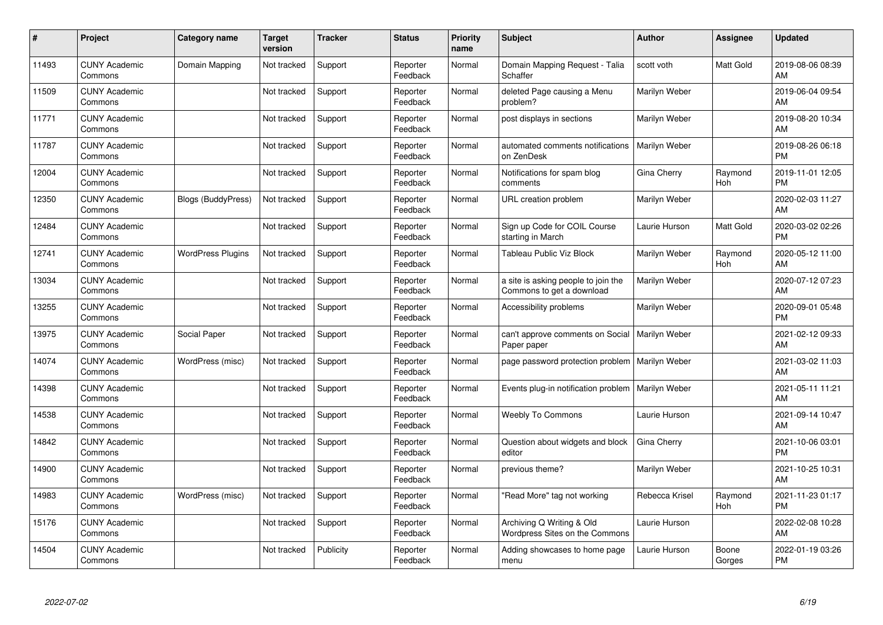| #     | <b>Project</b>                  | <b>Category name</b>      | <b>Target</b><br>version | <b>Tracker</b> | <b>Status</b>        | <b>Priority</b><br>name | <b>Subject</b>                                                   | <b>Author</b>        | Assignee        | <b>Updated</b>                |
|-------|---------------------------------|---------------------------|--------------------------|----------------|----------------------|-------------------------|------------------------------------------------------------------|----------------------|-----------------|-------------------------------|
| 11493 | <b>CUNY Academic</b><br>Commons | Domain Mapping            | Not tracked              | Support        | Reporter<br>Feedback | Normal                  | Domain Mapping Request - Talia<br>Schaffer                       | scott voth           | Matt Gold       | 2019-08-06 08:39<br>AM        |
| 11509 | <b>CUNY Academic</b><br>Commons |                           | Not tracked              | Support        | Reporter<br>Feedback | Normal                  | deleted Page causing a Menu<br>problem?                          | Marilyn Weber        |                 | 2019-06-04 09:54<br><b>AM</b> |
| 11771 | <b>CUNY Academic</b><br>Commons |                           | Not tracked              | Support        | Reporter<br>Feedback | Normal                  | post displays in sections                                        | Marilyn Weber        |                 | 2019-08-20 10:34<br>AM        |
| 11787 | <b>CUNY Academic</b><br>Commons |                           | Not tracked              | Support        | Reporter<br>Feedback | Normal                  | automated comments notifications<br>on ZenDesk                   | Marilyn Weber        |                 | 2019-08-26 06:18<br><b>PM</b> |
| 12004 | <b>CUNY Academic</b><br>Commons |                           | Not tracked              | Support        | Reporter<br>Feedback | Normal                  | Notifications for spam blog<br>comments                          | Gina Cherry          | Raymond<br>Hoh  | 2019-11-01 12:05<br><b>PM</b> |
| 12350 | <b>CUNY Academic</b><br>Commons | <b>Blogs (BuddyPress)</b> | Not tracked              | Support        | Reporter<br>Feedback | Normal                  | URL creation problem                                             | Marilyn Weber        |                 | 2020-02-03 11:27<br><b>AM</b> |
| 12484 | <b>CUNY Academic</b><br>Commons |                           | Not tracked              | Support        | Reporter<br>Feedback | Normal                  | Sign up Code for COIL Course<br>starting in March                | Laurie Hurson        | Matt Gold       | 2020-03-02 02:26<br><b>PM</b> |
| 12741 | <b>CUNY Academic</b><br>Commons | <b>WordPress Plugins</b>  | Not tracked              | Support        | Reporter<br>Feedback | Normal                  | Tableau Public Viz Block                                         | Marilyn Weber        | Raymond<br>Hoh  | 2020-05-12 11:00<br>AM        |
| 13034 | <b>CUNY Academic</b><br>Commons |                           | Not tracked              | Support        | Reporter<br>Feedback | Normal                  | a site is asking people to join the<br>Commons to get a download | Marilyn Weber        |                 | 2020-07-12 07:23<br>AM        |
| 13255 | <b>CUNY Academic</b><br>Commons |                           | Not tracked              | Support        | Reporter<br>Feedback | Normal                  | Accessibility problems                                           | Marilyn Weber        |                 | 2020-09-01 05:48<br><b>PM</b> |
| 13975 | <b>CUNY Academic</b><br>Commons | Social Paper              | Not tracked              | Support        | Reporter<br>Feedback | Normal                  | can't approve comments on Social<br>Paper paper                  | Marilyn Weber        |                 | 2021-02-12 09:33<br>AM        |
| 14074 | <b>CUNY Academic</b><br>Commons | WordPress (misc)          | Not tracked              | Support        | Reporter<br>Feedback | Normal                  | page password protection problem                                 | <b>Marilyn Weber</b> |                 | 2021-03-02 11:03<br>AM        |
| 14398 | <b>CUNY Academic</b><br>Commons |                           | Not tracked              | Support        | Reporter<br>Feedback | Normal                  | Events plug-in notification problem                              | Marilyn Weber        |                 | 2021-05-11 11:21<br><b>AM</b> |
| 14538 | <b>CUNY Academic</b><br>Commons |                           | Not tracked              | Support        | Reporter<br>Feedback | Normal                  | <b>Weebly To Commons</b>                                         | Laurie Hurson        |                 | 2021-09-14 10:47<br>AM        |
| 14842 | <b>CUNY Academic</b><br>Commons |                           | Not tracked              | Support        | Reporter<br>Feedback | Normal                  | Question about widgets and block<br>editor                       | Gina Cherry          |                 | 2021-10-06 03:01<br><b>PM</b> |
| 14900 | <b>CUNY Academic</b><br>Commons |                           | Not tracked              | Support        | Reporter<br>Feedback | Normal                  | previous theme?                                                  | Marilyn Weber        |                 | 2021-10-25 10:31<br>AM        |
| 14983 | <b>CUNY Academic</b><br>Commons | WordPress (misc)          | Not tracked              | Support        | Reporter<br>Feedback | Normal                  | "Read More" tag not working                                      | Rebecca Krisel       | Raymond<br>Hoh  | 2021-11-23 01:17<br><b>PM</b> |
| 15176 | <b>CUNY Academic</b><br>Commons |                           | Not tracked              | Support        | Reporter<br>Feedback | Normal                  | Archiving Q Writing & Old<br>Wordpress Sites on the Commons      | Laurie Hurson        |                 | 2022-02-08 10:28<br>AM        |
| 14504 | <b>CUNY Academic</b><br>Commons |                           | Not tracked              | Publicity      | Reporter<br>Feedback | Normal                  | Adding showcases to home page<br>menu                            | Laurie Hurson        | Boone<br>Gorges | 2022-01-19 03:26<br>PM        |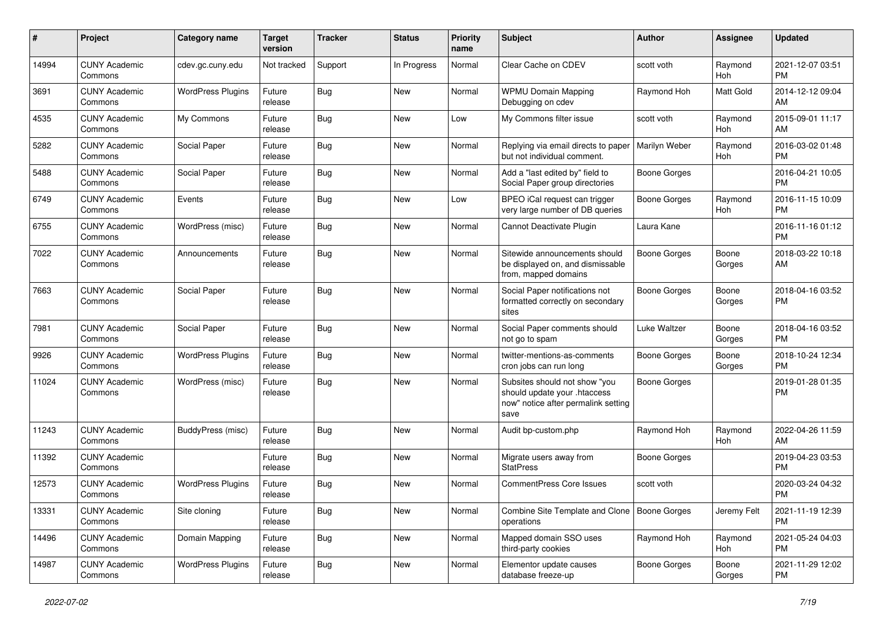| #     | Project                         | <b>Category name</b>     | <b>Target</b><br>version | Tracker    | <b>Status</b> | <b>Priority</b><br>name | Subject                                                                                                      | Author              | Assignee        | <b>Updated</b>                |
|-------|---------------------------------|--------------------------|--------------------------|------------|---------------|-------------------------|--------------------------------------------------------------------------------------------------------------|---------------------|-----------------|-------------------------------|
| 14994 | <b>CUNY Academic</b><br>Commons | cdev.gc.cuny.edu         | Not tracked              | Support    | In Progress   | Normal                  | Clear Cache on CDEV                                                                                          | scott voth          | Raymond<br>Hoh  | 2021-12-07 03:51<br><b>PM</b> |
| 3691  | <b>CUNY Academic</b><br>Commons | <b>WordPress Plugins</b> | Future<br>release        | Bug        | New           | Normal                  | <b>WPMU Domain Mapping</b><br>Debugging on cdev                                                              | Raymond Hoh         | Matt Gold       | 2014-12-12 09:04<br>AM        |
| 4535  | <b>CUNY Academic</b><br>Commons | My Commons               | Future<br>release        | Bug        | <b>New</b>    | Low                     | My Commons filter issue                                                                                      | scott voth          | Raymond<br>Hoh  | 2015-09-01 11:17<br>AM        |
| 5282  | <b>CUNY Academic</b><br>Commons | Social Paper             | Future<br>release        | Bug        | <b>New</b>    | Normal                  | Replying via email directs to paper<br>but not individual comment.                                           | Marilyn Weber       | Raymond<br>Hoh  | 2016-03-02 01:48<br><b>PM</b> |
| 5488  | <b>CUNY Academic</b><br>Commons | Social Paper             | Future<br>release        | <b>Bug</b> | <b>New</b>    | Normal                  | Add a "last edited by" field to<br>Social Paper group directories                                            | <b>Boone Gorges</b> |                 | 2016-04-21 10:05<br><b>PM</b> |
| 6749  | <b>CUNY Academic</b><br>Commons | Events                   | Future<br>release        | Bug        | <b>New</b>    | Low                     | BPEO iCal request can trigger<br>very large number of DB queries                                             | <b>Boone Gorges</b> | Raymond<br>Hoh  | 2016-11-15 10:09<br><b>PM</b> |
| 6755  | <b>CUNY Academic</b><br>Commons | WordPress (misc)         | Future<br>release        | Bug        | <b>New</b>    | Normal                  | Cannot Deactivate Plugin                                                                                     | Laura Kane          |                 | 2016-11-16 01:12<br><b>PM</b> |
| 7022  | <b>CUNY Academic</b><br>Commons | Announcements            | Future<br>release        | <b>Bug</b> | <b>New</b>    | Normal                  | Sitewide announcements should<br>be displayed on, and dismissable<br>from, mapped domains                    | <b>Boone Gorges</b> | Boone<br>Gorges | 2018-03-22 10:18<br>AM        |
| 7663  | <b>CUNY Academic</b><br>Commons | Social Paper             | Future<br>release        | <b>Bug</b> | <b>New</b>    | Normal                  | Social Paper notifications not<br>formatted correctly on secondary<br>sites                                  | <b>Boone Gorges</b> | Boone<br>Gorges | 2018-04-16 03:52<br><b>PM</b> |
| 7981  | <b>CUNY Academic</b><br>Commons | Social Paper             | Future<br>release        | <b>Bug</b> | New           | Normal                  | Social Paper comments should<br>not go to spam                                                               | Luke Waltzer        | Boone<br>Gorges | 2018-04-16 03:52<br><b>PM</b> |
| 9926  | <b>CUNY Academic</b><br>Commons | <b>WordPress Plugins</b> | Future<br>release        | Bug        | <b>New</b>    | Normal                  | twitter-mentions-as-comments<br>cron jobs can run long                                                       | <b>Boone Gorges</b> | Boone<br>Gorges | 2018-10-24 12:34<br><b>PM</b> |
| 11024 | <b>CUNY Academic</b><br>Commons | WordPress (misc)         | Future<br>release        | Bug        | <b>New</b>    | Normal                  | Subsites should not show "you<br>should update your .htaccess<br>now" notice after permalink setting<br>save | <b>Boone Gorges</b> |                 | 2019-01-28 01:35<br><b>PM</b> |
| 11243 | <b>CUNY Academic</b><br>Commons | <b>BuddyPress (misc)</b> | Future<br>release        | Bug        | <b>New</b>    | Normal                  | Audit bp-custom.php                                                                                          | Raymond Hoh         | Raymond<br>Hoh  | 2022-04-26 11:59<br>AM        |
| 11392 | <b>CUNY Academic</b><br>Commons |                          | Future<br>release        | Bug        | New           | Normal                  | Migrate users away from<br><b>StatPress</b>                                                                  | <b>Boone Gorges</b> |                 | 2019-04-23 03:53<br><b>PM</b> |
| 12573 | <b>CUNY Academic</b><br>Commons | <b>WordPress Plugins</b> | Future<br>release        | <b>Bug</b> | <b>New</b>    | Normal                  | <b>CommentPress Core Issues</b>                                                                              | scott voth          |                 | 2020-03-24 04:32<br><b>PM</b> |
| 13331 | <b>CUNY Academic</b><br>Commons | Site cloning             | Future<br>release        | Bug        | New           | Normal                  | Combine Site Template and Clone   Boone Gorges<br>operations                                                 |                     | Jeremy Felt     | 2021-11-19 12:39<br><b>PM</b> |
| 14496 | <b>CUNY Academic</b><br>Commons | Domain Mapping           | Future<br>release        | <b>Bug</b> | New           | Normal                  | Mapped domain SSO uses<br>third-party cookies                                                                | Raymond Hoh         | Raymond<br>Hoh  | 2021-05-24 04:03<br><b>PM</b> |
| 14987 | <b>CUNY Academic</b><br>Commons | <b>WordPress Plugins</b> | Future<br>release        | <b>Bug</b> | New           | Normal                  | Elementor update causes<br>database freeze-up                                                                | Boone Gorges        | Boone<br>Gorges | 2021-11-29 12:02<br>PM        |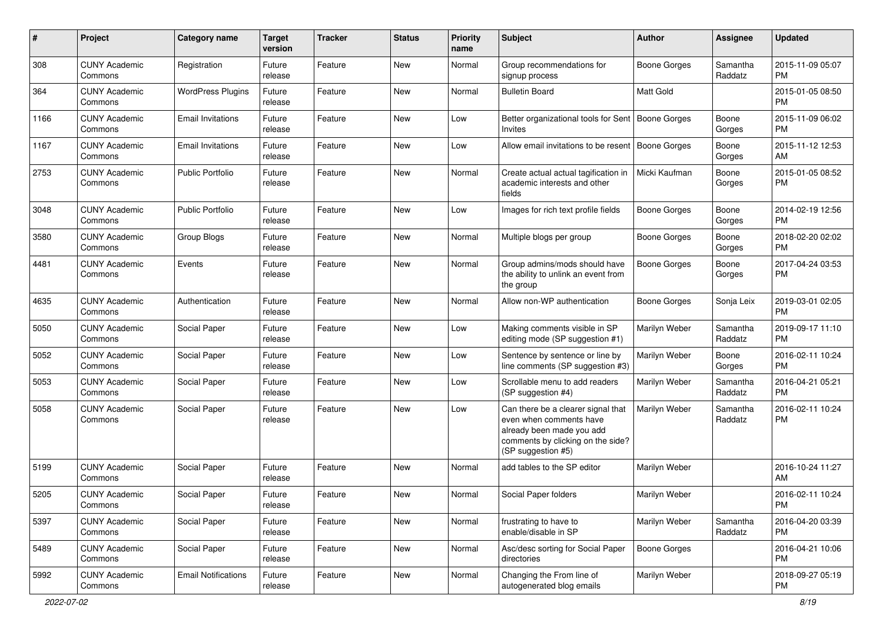| #    | Project                         | <b>Category name</b>       | <b>Target</b><br>version | <b>Tracker</b> | <b>Status</b> | <b>Priority</b><br>name | Subject                                                                                                                                               | <b>Author</b>       | <b>Assignee</b>     | <b>Updated</b>                |
|------|---------------------------------|----------------------------|--------------------------|----------------|---------------|-------------------------|-------------------------------------------------------------------------------------------------------------------------------------------------------|---------------------|---------------------|-------------------------------|
| 308  | <b>CUNY Academic</b><br>Commons | Registration               | Future<br>release        | Feature        | <b>New</b>    | Normal                  | Group recommendations for<br>signup process                                                                                                           | <b>Boone Gorges</b> | Samantha<br>Raddatz | 2015-11-09 05:07<br><b>PM</b> |
| 364  | <b>CUNY Academic</b><br>Commons | <b>WordPress Plugins</b>   | Future<br>release        | Feature        | New           | Normal                  | <b>Bulletin Board</b>                                                                                                                                 | Matt Gold           |                     | 2015-01-05 08:50<br><b>PM</b> |
| 1166 | <b>CUNY Academic</b><br>Commons | <b>Email Invitations</b>   | Future<br>release        | Feature        | New           | Low                     | Better organizational tools for Sent<br>Invites                                                                                                       | <b>Boone Gorges</b> | Boone<br>Gorges     | 2015-11-09 06:02<br><b>PM</b> |
| 1167 | <b>CUNY Academic</b><br>Commons | <b>Email Invitations</b>   | Future<br>release        | Feature        | New           | Low                     | Allow email invitations to be resent                                                                                                                  | Boone Gorges        | Boone<br>Gorges     | 2015-11-12 12:53<br>AM        |
| 2753 | <b>CUNY Academic</b><br>Commons | <b>Public Portfolio</b>    | Future<br>release        | Feature        | New           | Normal                  | Create actual actual tagification in<br>academic interests and other<br>fields                                                                        | Micki Kaufman       | Boone<br>Gorges     | 2015-01-05 08:52<br><b>PM</b> |
| 3048 | <b>CUNY Academic</b><br>Commons | <b>Public Portfolio</b>    | Future<br>release        | Feature        | New           | Low                     | Images for rich text profile fields                                                                                                                   | Boone Gorges        | Boone<br>Gorges     | 2014-02-19 12:56<br><b>PM</b> |
| 3580 | <b>CUNY Academic</b><br>Commons | Group Blogs                | Future<br>release        | Feature        | New           | Normal                  | Multiple blogs per group                                                                                                                              | Boone Gorges        | Boone<br>Gorges     | 2018-02-20 02:02<br><b>PM</b> |
| 4481 | <b>CUNY Academic</b><br>Commons | Events                     | Future<br>release        | Feature        | New           | Normal                  | Group admins/mods should have<br>the ability to unlink an event from<br>the group                                                                     | <b>Boone Gorges</b> | Boone<br>Gorges     | 2017-04-24 03:53<br><b>PM</b> |
| 4635 | <b>CUNY Academic</b><br>Commons | Authentication             | Future<br>release        | Feature        | <b>New</b>    | Normal                  | Allow non-WP authentication                                                                                                                           | Boone Gorges        | Sonja Leix          | 2019-03-01 02:05<br><b>PM</b> |
| 5050 | <b>CUNY Academic</b><br>Commons | Social Paper               | Future<br>release        | Feature        | <b>New</b>    | Low                     | Making comments visible in SP<br>editing mode (SP suggestion #1)                                                                                      | Marilyn Weber       | Samantha<br>Raddatz | 2019-09-17 11:10<br><b>PM</b> |
| 5052 | <b>CUNY Academic</b><br>Commons | Social Paper               | Future<br>release        | Feature        | New           | Low                     | Sentence by sentence or line by<br>line comments (SP suggestion #3)                                                                                   | Marilyn Weber       | Boone<br>Gorges     | 2016-02-11 10:24<br><b>PM</b> |
| 5053 | <b>CUNY Academic</b><br>Commons | Social Paper               | Future<br>release        | Feature        | New           | Low                     | Scrollable menu to add readers<br>(SP suggestion #4)                                                                                                  | Marilyn Weber       | Samantha<br>Raddatz | 2016-04-21 05:21<br><b>PM</b> |
| 5058 | <b>CUNY Academic</b><br>Commons | Social Paper               | Future<br>release        | Feature        | <b>New</b>    | Low                     | Can there be a clearer signal that<br>even when comments have<br>already been made you add<br>comments by clicking on the side?<br>(SP suggestion #5) | Marilyn Weber       | Samantha<br>Raddatz | 2016-02-11 10:24<br>PM.       |
| 5199 | <b>CUNY Academic</b><br>Commons | Social Paper               | Future<br>release        | Feature        | New           | Normal                  | add tables to the SP editor                                                                                                                           | Marilyn Weber       |                     | 2016-10-24 11:27<br>AM        |
| 5205 | <b>CUNY Academic</b><br>Commons | Social Paper               | Future<br>release        | Feature        | New           | Normal                  | Social Paper folders                                                                                                                                  | Marilyn Weber       |                     | 2016-02-11 10:24<br><b>PM</b> |
| 5397 | <b>CUNY Academic</b><br>Commons | Social Paper               | Future<br>release        | Feature        | New           | Normal                  | frustrating to have to<br>enable/disable in SP                                                                                                        | Marilyn Weber       | Samantha<br>Raddatz | 2016-04-20 03:39<br>PM        |
| 5489 | <b>CUNY Academic</b><br>Commons | Social Paper               | Future<br>release        | Feature        | New           | Normal                  | Asc/desc sorting for Social Paper<br>directories                                                                                                      | <b>Boone Gorges</b> |                     | 2016-04-21 10:06<br><b>PM</b> |
| 5992 | <b>CUNY Academic</b><br>Commons | <b>Email Notifications</b> | Future<br>release        | Feature        | New           | Normal                  | Changing the From line of<br>autogenerated blog emails                                                                                                | Marilyn Weber       |                     | 2018-09-27 05:19<br><b>PM</b> |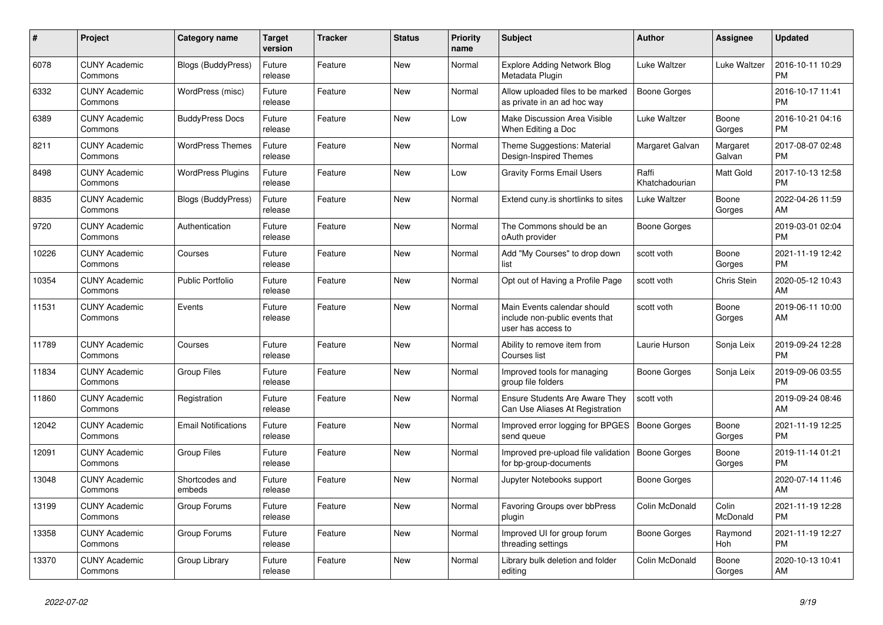| $\pmb{\sharp}$ | <b>Project</b>                  | Category name              | Target<br>version | <b>Tracker</b> | <b>Status</b> | <b>Priority</b><br>name | <b>Subject</b>                                                                      | <b>Author</b>           | Assignee           | <b>Updated</b>                |
|----------------|---------------------------------|----------------------------|-------------------|----------------|---------------|-------------------------|-------------------------------------------------------------------------------------|-------------------------|--------------------|-------------------------------|
| 6078           | <b>CUNY Academic</b><br>Commons | Blogs (BuddyPress)         | Future<br>release | Feature        | New           | Normal                  | <b>Explore Adding Network Blog</b><br>Metadata Plugin                               | Luke Waltzer            | Luke Waltzer       | 2016-10-11 10:29<br><b>PM</b> |
| 6332           | <b>CUNY Academic</b><br>Commons | WordPress (misc)           | Future<br>release | Feature        | New           | Normal                  | Allow uploaded files to be marked<br>as private in an ad hoc way                    | Boone Gorges            |                    | 2016-10-17 11:41<br><b>PM</b> |
| 6389           | <b>CUNY Academic</b><br>Commons | <b>BuddyPress Docs</b>     | Future<br>release | Feature        | New           | Low                     | <b>Make Discussion Area Visible</b><br>When Editing a Doc                           | Luke Waltzer            | Boone<br>Gorges    | 2016-10-21 04:16<br><b>PM</b> |
| 8211           | <b>CUNY Academic</b><br>Commons | <b>WordPress Themes</b>    | Future<br>release | Feature        | <b>New</b>    | Normal                  | Theme Suggestions: Material<br>Design-Inspired Themes                               | Margaret Galvan         | Margaret<br>Galvan | 2017-08-07 02:48<br><b>PM</b> |
| 8498           | <b>CUNY Academic</b><br>Commons | <b>WordPress Plugins</b>   | Future<br>release | Feature        | New           | Low                     | <b>Gravity Forms Email Users</b>                                                    | Raffi<br>Khatchadourian | Matt Gold          | 2017-10-13 12:58<br><b>PM</b> |
| 8835           | <b>CUNY Academic</b><br>Commons | <b>Blogs (BuddyPress)</b>  | Future<br>release | Feature        | New           | Normal                  | Extend cuny.is shortlinks to sites                                                  | Luke Waltzer            | Boone<br>Gorges    | 2022-04-26 11:59<br><b>AM</b> |
| 9720           | <b>CUNY Academic</b><br>Commons | Authentication             | Future<br>release | Feature        | <b>New</b>    | Normal                  | The Commons should be an<br>oAuth provider                                          | Boone Gorges            |                    | 2019-03-01 02:04<br><b>PM</b> |
| 10226          | <b>CUNY Academic</b><br>Commons | Courses                    | Future<br>release | Feature        | <b>New</b>    | Normal                  | Add "My Courses" to drop down<br>list                                               | scott voth              | Boone<br>Gorges    | 2021-11-19 12:42<br>PM        |
| 10354          | <b>CUNY Academic</b><br>Commons | Public Portfolio           | Future<br>release | Feature        | <b>New</b>    | Normal                  | Opt out of Having a Profile Page                                                    | scott voth              | Chris Stein        | 2020-05-12 10:43<br>AM        |
| 11531          | <b>CUNY Academic</b><br>Commons | Events                     | Future<br>release | Feature        | New           | Normal                  | Main Events calendar should<br>include non-public events that<br>user has access to | scott voth              | Boone<br>Gorges    | 2019-06-11 10:00<br>AM        |
| 11789          | <b>CUNY Academic</b><br>Commons | Courses                    | Future<br>release | Feature        | New           | Normal                  | Ability to remove item from<br>Courses list                                         | Laurie Hurson           | Sonja Leix         | 2019-09-24 12:28<br><b>PM</b> |
| 11834          | <b>CUNY Academic</b><br>Commons | <b>Group Files</b>         | Future<br>release | Feature        | New           | Normal                  | Improved tools for managing<br>group file folders                                   | Boone Gorges            | Sonja Leix         | 2019-09-06 03:55<br><b>PM</b> |
| 11860          | <b>CUNY Academic</b><br>Commons | Registration               | Future<br>release | Feature        | <b>New</b>    | Normal                  | <b>Ensure Students Are Aware They</b><br>Can Use Aliases At Registration            | scott voth              |                    | 2019-09-24 08:46<br><b>AM</b> |
| 12042          | <b>CUNY Academic</b><br>Commons | <b>Email Notifications</b> | Future<br>release | Feature        | <b>New</b>    | Normal                  | Improved error logging for BPGES<br>send queue                                      | <b>Boone Gorges</b>     | Boone<br>Gorges    | 2021-11-19 12:25<br><b>PM</b> |
| 12091          | <b>CUNY Academic</b><br>Commons | Group Files                | Future<br>release | Feature        | New           | Normal                  | Improved pre-upload file validation<br>for bp-group-documents                       | Boone Gorges            | Boone<br>Gorges    | 2019-11-14 01:21<br><b>PM</b> |
| 13048          | <b>CUNY Academic</b><br>Commons | Shortcodes and<br>embeds   | Future<br>release | Feature        | New           | Normal                  | Jupyter Notebooks support                                                           | Boone Gorges            |                    | 2020-07-14 11:46<br>AM        |
| 13199          | <b>CUNY Academic</b><br>Commons | Group Forums               | Future<br>release | Feature        | <b>New</b>    | Normal                  | Favoring Groups over bbPress<br>plugin                                              | Colin McDonald          | Colin<br>McDonald  | 2021-11-19 12:28<br><b>PM</b> |
| 13358          | <b>CUNY Academic</b><br>Commons | Group Forums               | Future<br>release | Feature        | New           | Normal                  | Improved UI for group forum<br>threading settings                                   | Boone Gorges            | Raymond<br>Hoh     | 2021-11-19 12:27<br><b>PM</b> |
| 13370          | <b>CUNY Academic</b><br>Commons | Group Library              | Future<br>release | Feature        | <b>New</b>    | Normal                  | Library bulk deletion and folder<br>editing                                         | Colin McDonald          | Boone<br>Gorges    | 2020-10-13 10:41<br>AM        |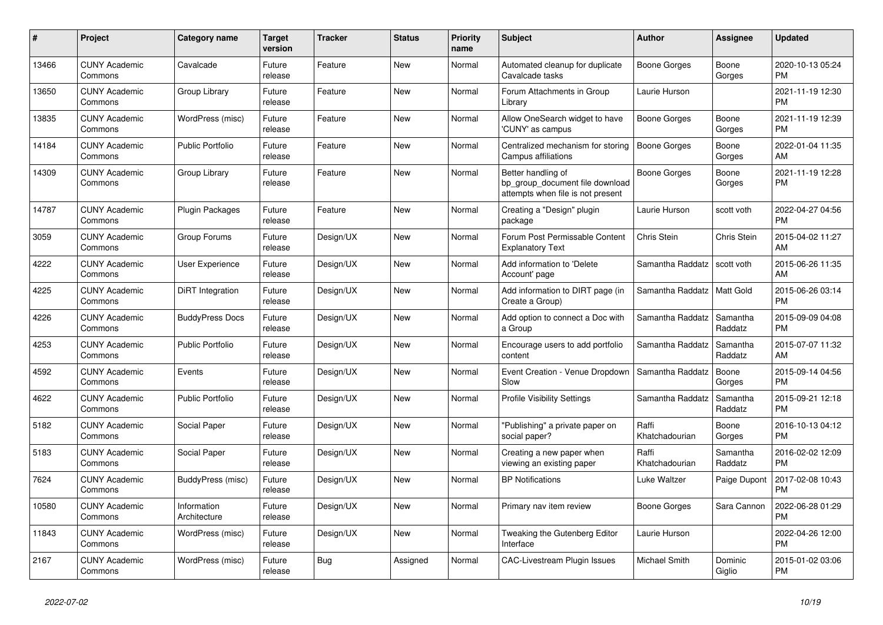| #     | <b>Project</b>                  | Category name               | Target<br>version | <b>Tracker</b> | <b>Status</b> | <b>Priority</b><br>name | <b>Subject</b>                                                                             | <b>Author</b>           | Assignee            | <b>Updated</b>                |
|-------|---------------------------------|-----------------------------|-------------------|----------------|---------------|-------------------------|--------------------------------------------------------------------------------------------|-------------------------|---------------------|-------------------------------|
| 13466 | <b>CUNY Academic</b><br>Commons | Cavalcade                   | Future<br>release | Feature        | New           | Normal                  | Automated cleanup for duplicate<br>Cavalcade tasks                                         | Boone Gorges            | Boone<br>Gorges     | 2020-10-13 05:24<br><b>PM</b> |
| 13650 | <b>CUNY Academic</b><br>Commons | Group Library               | Future<br>release | Feature        | New           | Normal                  | Forum Attachments in Group<br>Library                                                      | Laurie Hurson           |                     | 2021-11-19 12:30<br><b>PM</b> |
| 13835 | <b>CUNY Academic</b><br>Commons | WordPress (misc)            | Future<br>release | Feature        | New           | Normal                  | Allow OneSearch widget to have<br>'CUNY' as campus                                         | Boone Gorges            | Boone<br>Gorges     | 2021-11-19 12:39<br><b>PM</b> |
| 14184 | <b>CUNY Academic</b><br>Commons | <b>Public Portfolio</b>     | Future<br>release | Feature        | <b>New</b>    | Normal                  | Centralized mechanism for storing<br>Campus affiliations                                   | <b>Boone Gorges</b>     | Boone<br>Gorges     | 2022-01-04 11:35<br>AM        |
| 14309 | <b>CUNY Academic</b><br>Commons | Group Library               | Future<br>release | Feature        | New           | Normal                  | Better handling of<br>bp_group_document file download<br>attempts when file is not present | Boone Gorges            | Boone<br>Gorges     | 2021-11-19 12:28<br><b>PM</b> |
| 14787 | <b>CUNY Academic</b><br>Commons | Plugin Packages             | Future<br>release | Feature        | <b>New</b>    | Normal                  | Creating a "Design" plugin<br>package                                                      | Laurie Hurson           | scott voth          | 2022-04-27 04:56<br><b>PM</b> |
| 3059  | <b>CUNY Academic</b><br>Commons | Group Forums                | Future<br>release | Design/UX      | New           | Normal                  | Forum Post Permissable Content<br><b>Explanatory Text</b>                                  | Chris Stein             | Chris Stein         | 2015-04-02 11:27<br>AM        |
| 4222  | <b>CUNY Academic</b><br>Commons | User Experience             | Future<br>release | Design/UX      | New           | Normal                  | Add information to 'Delete<br>Account' page                                                | Samantha Raddatz        | scott voth          | 2015-06-26 11:35<br><b>AM</b> |
| 4225  | <b>CUNY Academic</b><br>Commons | DiRT Integration            | Future<br>release | Design/UX      | <b>New</b>    | Normal                  | Add information to DIRT page (in<br>Create a Group)                                        | Samantha Raddatz        | <b>Matt Gold</b>    | 2015-06-26 03:14<br><b>PM</b> |
| 4226  | <b>CUNY Academic</b><br>Commons | <b>BuddyPress Docs</b>      | Future<br>release | Design/UX      | New           | Normal                  | Add option to connect a Doc with<br>a Group                                                | Samantha Raddatz        | Samantha<br>Raddatz | 2015-09-09 04:08<br><b>PM</b> |
| 4253  | <b>CUNY Academic</b><br>Commons | Public Portfolio            | Future<br>release | Design/UX      | New           | Normal                  | Encourage users to add portfolio<br>content                                                | Samantha Raddatz        | Samantha<br>Raddatz | 2015-07-07 11:32<br>AM        |
| 4592  | <b>CUNY Academic</b><br>Commons | Events                      | Future<br>release | Design/UX      | <b>New</b>    | Normal                  | Event Creation - Venue Dropdown<br>Slow                                                    | Samantha Raddatz        | Boone<br>Gorges     | 2015-09-14 04:56<br><b>PM</b> |
| 4622  | <b>CUNY Academic</b><br>Commons | <b>Public Portfolio</b>     | Future<br>release | Design/UX      | <b>New</b>    | Normal                  | <b>Profile Visibility Settings</b>                                                         | Samantha Raddatz        | Samantha<br>Raddatz | 2015-09-21 12:18<br><b>PM</b> |
| 5182  | <b>CUNY Academic</b><br>Commons | Social Paper                | Future<br>release | Design/UX      | <b>New</b>    | Normal                  | "Publishing" a private paper on<br>social paper?                                           | Raffi<br>Khatchadourian | Boone<br>Gorges     | 2016-10-13 04:12<br><b>PM</b> |
| 5183  | <b>CUNY Academic</b><br>Commons | Social Paper                | Future<br>release | Design/UX      | <b>New</b>    | Normal                  | Creating a new paper when<br>viewing an existing paper                                     | Raffi<br>Khatchadourian | Samantha<br>Raddatz | 2016-02-02 12:09<br><b>PM</b> |
| 7624  | <b>CUNY Academic</b><br>Commons | BuddyPress (misc)           | Future<br>release | Design/UX      | <b>New</b>    | Normal                  | <b>BP Notifications</b>                                                                    | Luke Waltzer            | Paige Dupont        | 2017-02-08 10:43<br><b>PM</b> |
| 10580 | <b>CUNY Academic</b><br>Commons | Information<br>Architecture | Future<br>release | Design/UX      | New           | Normal                  | Primary nav item review                                                                    | Boone Gorges            | Sara Cannon         | 2022-06-28 01:29<br><b>PM</b> |
| 11843 | <b>CUNY Academic</b><br>Commons | WordPress (misc)            | Future<br>release | Design/UX      | New           | Normal                  | Tweaking the Gutenberg Editor<br>Interface                                                 | Laurie Hurson           |                     | 2022-04-26 12:00<br><b>PM</b> |
| 2167  | <b>CUNY Academic</b><br>Commons | WordPress (misc)            | Future<br>release | Bug            | Assigned      | Normal                  | <b>CAC-Livestream Plugin Issues</b>                                                        | Michael Smith           | Dominic<br>Giglio   | 2015-01-02 03:06<br><b>PM</b> |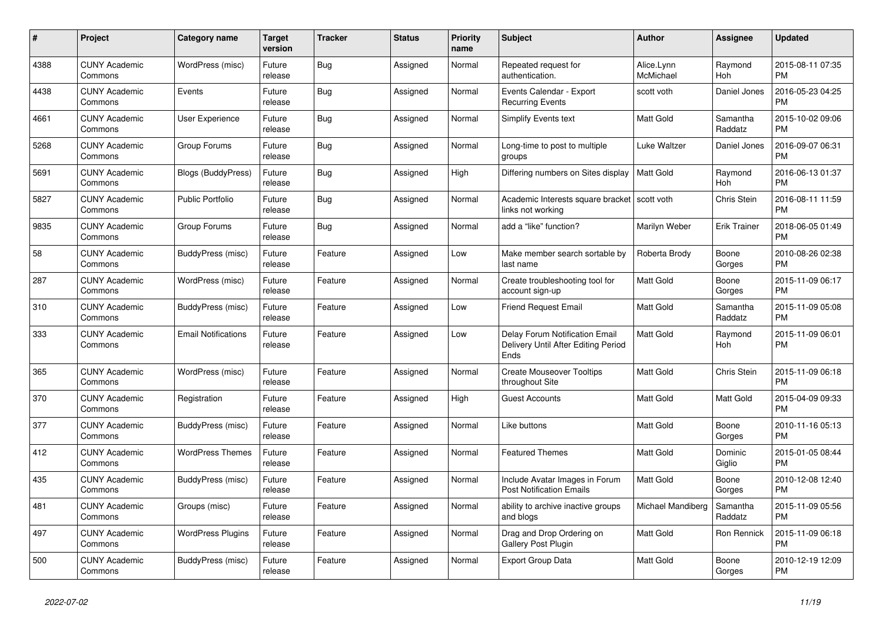| $\#$ | <b>Project</b>                  | Category name              | <b>Target</b><br>version | <b>Tracker</b> | <b>Status</b> | Priority<br>name | <b>Subject</b>                                                                       | <b>Author</b>           | Assignee            | <b>Updated</b>                |
|------|---------------------------------|----------------------------|--------------------------|----------------|---------------|------------------|--------------------------------------------------------------------------------------|-------------------------|---------------------|-------------------------------|
| 4388 | <b>CUNY Academic</b><br>Commons | WordPress (misc)           | Future<br>release        | <b>Bug</b>     | Assigned      | Normal           | Repeated request for<br>authentication.                                              | Alice.Lynn<br>McMichael | Raymond<br>Hoh      | 2015-08-11 07:35<br><b>PM</b> |
| 4438 | <b>CUNY Academic</b><br>Commons | Events                     | Future<br>release        | Bug            | Assigned      | Normal           | Events Calendar - Export<br><b>Recurring Events</b>                                  | scott voth              | Daniel Jones        | 2016-05-23 04:25<br><b>PM</b> |
| 4661 | <b>CUNY Academic</b><br>Commons | User Experience            | Future<br>release        | <b>Bug</b>     | Assigned      | Normal           | Simplify Events text                                                                 | <b>Matt Gold</b>        | Samantha<br>Raddatz | 2015-10-02 09:06<br><b>PM</b> |
| 5268 | <b>CUNY Academic</b><br>Commons | Group Forums               | Future<br>release        | <b>Bug</b>     | Assigned      | Normal           | Long-time to post to multiple<br>groups                                              | Luke Waltzer            | Daniel Jones        | 2016-09-07 06:31<br><b>PM</b> |
| 5691 | <b>CUNY Academic</b><br>Commons | Blogs (BuddyPress)         | Future<br>release        | Bug            | Assigned      | High             | Differing numbers on Sites display                                                   | <b>Matt Gold</b>        | Raymond<br>Hoh      | 2016-06-13 01:37<br><b>PM</b> |
| 5827 | <b>CUNY Academic</b><br>Commons | <b>Public Portfolio</b>    | Future<br>release        | Bug            | Assigned      | Normal           | Academic Interests square bracket<br>links not working                               | scott voth              | Chris Stein         | 2016-08-11 11:59<br><b>PM</b> |
| 9835 | <b>CUNY Academic</b><br>Commons | Group Forums               | Future<br>release        | <b>Bug</b>     | Assigned      | Normal           | add a "like" function?                                                               | Marilyn Weber           | <b>Erik Trainer</b> | 2018-06-05 01:49<br><b>PM</b> |
| 58   | <b>CUNY Academic</b><br>Commons | BuddyPress (misc)          | Future<br>release        | Feature        | Assigned      | Low              | Make member search sortable by<br>last name                                          | Roberta Brody           | Boone<br>Gorges     | 2010-08-26 02:38<br>PM        |
| 287  | <b>CUNY Academic</b><br>Commons | WordPress (misc)           | Future<br>release        | Feature        | Assigned      | Normal           | Create troubleshooting tool for<br>account sign-up                                   | Matt Gold               | Boone<br>Gorges     | 2015-11-09 06:17<br><b>PM</b> |
| 310  | <b>CUNY Academic</b><br>Commons | BuddyPress (misc)          | Future<br>release        | Feature        | Assigned      | Low              | <b>Friend Request Email</b>                                                          | Matt Gold               | Samantha<br>Raddatz | 2015-11-09 05:08<br><b>PM</b> |
| 333  | <b>CUNY Academic</b><br>Commons | <b>Email Notifications</b> | Future<br>release        | Feature        | Assigned      | Low              | <b>Delay Forum Notification Email</b><br>Delivery Until After Editing Period<br>Ends | Matt Gold               | Raymond<br>Hoh      | 2015-11-09 06:01<br><b>PM</b> |
| 365  | <b>CUNY Academic</b><br>Commons | WordPress (misc)           | Future<br>release        | Feature        | Assigned      | Normal           | <b>Create Mouseover Tooltips</b><br>throughout Site                                  | <b>Matt Gold</b>        | Chris Stein         | 2015-11-09 06:18<br><b>PM</b> |
| 370  | <b>CUNY Academic</b><br>Commons | Registration               | Future<br>release        | Feature        | Assigned      | High             | <b>Guest Accounts</b>                                                                | Matt Gold               | Matt Gold           | 2015-04-09 09:33<br><b>PM</b> |
| 377  | <b>CUNY Academic</b><br>Commons | BuddyPress (misc)          | Future<br>release        | Feature        | Assigned      | Normal           | Like buttons                                                                         | Matt Gold               | Boone<br>Gorges     | 2010-11-16 05:13<br><b>PM</b> |
| 412  | <b>CUNY Academic</b><br>Commons | <b>WordPress Themes</b>    | Future<br>release        | Feature        | Assigned      | Normal           | <b>Featured Themes</b>                                                               | Matt Gold               | Dominic<br>Giglio   | 2015-01-05 08:44<br><b>PM</b> |
| 435  | <b>CUNY Academic</b><br>Commons | BuddyPress (misc)          | Future<br>release        | Feature        | Assigned      | Normal           | Include Avatar Images in Forum<br><b>Post Notification Emails</b>                    | <b>Matt Gold</b>        | Boone<br>Gorges     | 2010-12-08 12:40<br><b>PM</b> |
| 481  | <b>CUNY Academic</b><br>Commons | Groups (misc)              | Future<br>release        | Feature        | Assigned      | Normal           | ability to archive inactive groups<br>and blogs                                      | Michael Mandiberg       | Samantha<br>Raddatz | 2015-11-09 05:56<br><b>PM</b> |
| 497  | <b>CUNY Academic</b><br>Commons | <b>WordPress Plugins</b>   | Future<br>release        | Feature        | Assigned      | Normal           | Drag and Drop Ordering on<br>Gallery Post Plugin                                     | Matt Gold               | Ron Rennick         | 2015-11-09 06:18<br><b>PM</b> |
| 500  | <b>CUNY Academic</b><br>Commons | BuddyPress (misc)          | Future<br>release        | Feature        | Assigned      | Normal           | <b>Export Group Data</b>                                                             | <b>Matt Gold</b>        | Boone<br>Gorges     | 2010-12-19 12:09<br><b>PM</b> |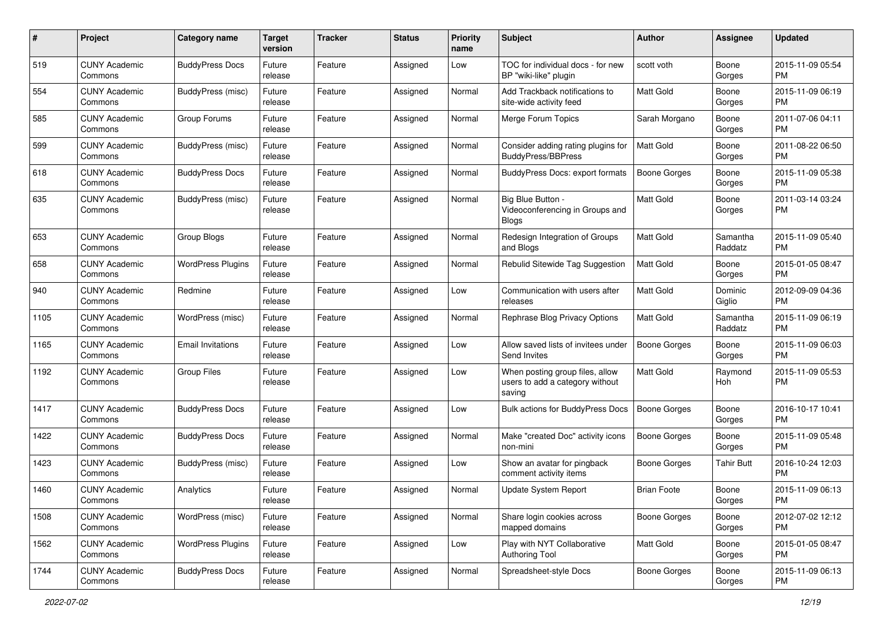| #    | Project                         | <b>Category name</b>     | <b>Target</b><br>version | <b>Tracker</b> | <b>Status</b> | Priority<br>name | <b>Subject</b>                                                               | <b>Author</b>       | <b>Assignee</b>     | <b>Updated</b>                |
|------|---------------------------------|--------------------------|--------------------------|----------------|---------------|------------------|------------------------------------------------------------------------------|---------------------|---------------------|-------------------------------|
| 519  | <b>CUNY Academic</b><br>Commons | <b>BuddyPress Docs</b>   | Future<br>release        | Feature        | Assigned      | Low              | TOC for individual docs - for new<br>BP "wiki-like" plugin                   | scott voth          | Boone<br>Gorges     | 2015-11-09 05:54<br>PM.       |
| 554  | <b>CUNY Academic</b><br>Commons | <b>BuddyPress (misc)</b> | Future<br>release        | Feature        | Assigned      | Normal           | Add Trackback notifications to<br>site-wide activity feed                    | Matt Gold           | Boone<br>Gorges     | 2015-11-09 06:19<br><b>PM</b> |
| 585  | <b>CUNY Academic</b><br>Commons | Group Forums             | Future<br>release        | Feature        | Assigned      | Normal           | Merge Forum Topics                                                           | Sarah Morgano       | Boone<br>Gorges     | 2011-07-06 04:11<br><b>PM</b> |
| 599  | <b>CUNY Academic</b><br>Commons | BuddyPress (misc)        | Future<br>release        | Feature        | Assigned      | Normal           | Consider adding rating plugins for<br>BuddyPress/BBPress                     | <b>Matt Gold</b>    | Boone<br>Gorges     | 2011-08-22 06:50<br>PM.       |
| 618  | <b>CUNY Academic</b><br>Commons | <b>BuddyPress Docs</b>   | Future<br>release        | Feature        | Assigned      | Normal           | BuddyPress Docs: export formats                                              | <b>Boone Gorges</b> | Boone<br>Gorges     | 2015-11-09 05:38<br><b>PM</b> |
| 635  | <b>CUNY Academic</b><br>Commons | <b>BuddyPress (misc)</b> | Future<br>release        | Feature        | Assigned      | Normal           | Big Blue Button -<br>Videoconferencing in Groups and<br><b>Blogs</b>         | <b>Matt Gold</b>    | Boone<br>Gorges     | 2011-03-14 03:24<br>PM.       |
| 653  | <b>CUNY Academic</b><br>Commons | Group Blogs              | Future<br>release        | Feature        | Assigned      | Normal           | Redesign Integration of Groups<br>and Blogs                                  | <b>Matt Gold</b>    | Samantha<br>Raddatz | 2015-11-09 05:40<br><b>PM</b> |
| 658  | <b>CUNY Academic</b><br>Commons | <b>WordPress Plugins</b> | Future<br>release        | Feature        | Assigned      | Normal           | Rebulid Sitewide Tag Suggestion                                              | <b>Matt Gold</b>    | Boone<br>Gorges     | 2015-01-05 08:47<br>PM.       |
| 940  | <b>CUNY Academic</b><br>Commons | Redmine                  | Future<br>release        | Feature        | Assigned      | Low              | Communication with users after<br>releases                                   | <b>Matt Gold</b>    | Dominic<br>Giglio   | 2012-09-09 04:36<br><b>PM</b> |
| 1105 | <b>CUNY Academic</b><br>Commons | WordPress (misc)         | Future<br>release        | Feature        | Assigned      | Normal           | Rephrase Blog Privacy Options                                                | <b>Matt Gold</b>    | Samantha<br>Raddatz | 2015-11-09 06:19<br><b>PM</b> |
| 1165 | <b>CUNY Academic</b><br>Commons | <b>Email Invitations</b> | Future<br>release        | Feature        | Assigned      | Low              | Allow saved lists of invitees under<br>Send Invites                          | Boone Gorges        | Boone<br>Gorges     | 2015-11-09 06:03<br><b>PM</b> |
| 1192 | <b>CUNY Academic</b><br>Commons | <b>Group Files</b>       | Future<br>release        | Feature        | Assigned      | Low              | When posting group files, allow<br>users to add a category without<br>saving | <b>Matt Gold</b>    | Raymond<br>Hoh      | 2015-11-09 05:53<br>PM        |
| 1417 | <b>CUNY Academic</b><br>Commons | <b>BuddyPress Docs</b>   | Future<br>release        | Feature        | Assigned      | Low              | Bulk actions for BuddyPress Docs                                             | <b>Boone Gorges</b> | Boone<br>Gorges     | 2016-10-17 10:41<br>PM.       |
| 1422 | <b>CUNY Academic</b><br>Commons | <b>BuddyPress Docs</b>   | Future<br>release        | Feature        | Assigned      | Normal           | Make "created Doc" activity icons<br>non-mini                                | <b>Boone Gorges</b> | Boone<br>Gorges     | 2015-11-09 05:48<br><b>PM</b> |
| 1423 | <b>CUNY Academic</b><br>Commons | <b>BuddyPress (misc)</b> | Future<br>release        | Feature        | Assigned      | Low              | Show an avatar for pingback<br>comment activity items                        | Boone Gorges        | <b>Tahir Butt</b>   | 2016-10-24 12:03<br><b>PM</b> |
| 1460 | <b>CUNY Academic</b><br>Commons | Analytics                | Future<br>release        | Feature        | Assigned      | Normal           | <b>Update System Report</b>                                                  | <b>Brian Foote</b>  | Boone<br>Gorges     | 2015-11-09 06:13<br>PM        |
| 1508 | <b>CUNY Academic</b><br>Commons | WordPress (misc)         | Future<br>release        | Feature        | Assigned      | Normal           | Share login cookies across<br>mapped domains                                 | Boone Gorges        | Boone<br>Gorges     | 2012-07-02 12:12<br>PM.       |
| 1562 | <b>CUNY Academic</b><br>Commons | <b>WordPress Plugins</b> | Future<br>release        | Feature        | Assigned      | Low              | Play with NYT Collaborative<br>Authoring Tool                                | Matt Gold           | Boone<br>Gorges     | 2015-01-05 08:47<br><b>PM</b> |
| 1744 | <b>CUNY Academic</b><br>Commons | <b>BuddyPress Docs</b>   | Future<br>release        | Feature        | Assigned      | Normal           | Spreadsheet-style Docs                                                       | Boone Gorges        | Boone<br>Gorges     | 2015-11-09 06:13<br><b>PM</b> |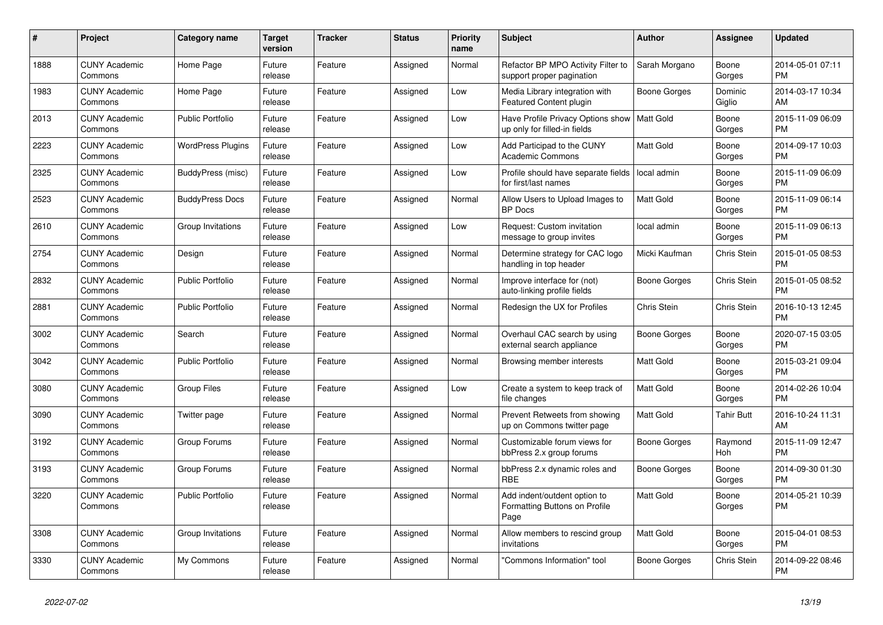| #    | Project                         | <b>Category name</b>     | <b>Target</b><br>version | <b>Tracker</b> | <b>Status</b> | <b>Priority</b><br>name | <b>Subject</b>                                                        | <b>Author</b>    | Assignee          | <b>Updated</b>                |
|------|---------------------------------|--------------------------|--------------------------|----------------|---------------|-------------------------|-----------------------------------------------------------------------|------------------|-------------------|-------------------------------|
| 1888 | <b>CUNY Academic</b><br>Commons | Home Page                | Future<br>release        | Feature        | Assigned      | Normal                  | Refactor BP MPO Activity Filter to<br>support proper pagination       | Sarah Morgano    | Boone<br>Gorges   | 2014-05-01 07:11<br><b>PM</b> |
| 1983 | <b>CUNY Academic</b><br>Commons | Home Page                | Future<br>release        | Feature        | Assigned      | Low                     | Media Library integration with<br><b>Featured Content plugin</b>      | Boone Gorges     | Dominic<br>Giglio | 2014-03-17 10:34<br>AM        |
| 2013 | <b>CUNY Academic</b><br>Commons | <b>Public Portfolio</b>  | Future<br>release        | Feature        | Assigned      | Low                     | Have Profile Privacy Options show<br>up only for filled-in fields     | Matt Gold        | Boone<br>Gorges   | 2015-11-09 06:09<br><b>PM</b> |
| 2223 | <b>CUNY Academic</b><br>Commons | <b>WordPress Plugins</b> | Future<br>release        | Feature        | Assigned      | Low                     | Add Participad to the CUNY<br><b>Academic Commons</b>                 | <b>Matt Gold</b> | Boone<br>Gorges   | 2014-09-17 10:03<br><b>PM</b> |
| 2325 | <b>CUNY Academic</b><br>Commons | BuddyPress (misc)        | Future<br>release        | Feature        | Assigned      | Low                     | Profile should have separate fields<br>for first/last names           | local admin      | Boone<br>Gorges   | 2015-11-09 06:09<br><b>PM</b> |
| 2523 | <b>CUNY Academic</b><br>Commons | <b>BuddyPress Docs</b>   | Future<br>release        | Feature        | Assigned      | Normal                  | Allow Users to Upload Images to<br><b>BP</b> Docs                     | Matt Gold        | Boone<br>Gorges   | 2015-11-09 06:14<br><b>PM</b> |
| 2610 | <b>CUNY Academic</b><br>Commons | Group Invitations        | Future<br>release        | Feature        | Assigned      | Low                     | Request: Custom invitation<br>message to group invites                | local admin      | Boone<br>Gorges   | 2015-11-09 06:13<br><b>PM</b> |
| 2754 | <b>CUNY Academic</b><br>Commons | Design                   | Future<br>release        | Feature        | Assigned      | Normal                  | Determine strategy for CAC logo<br>handling in top header             | Micki Kaufman    | Chris Stein       | 2015-01-05 08:53<br><b>PM</b> |
| 2832 | <b>CUNY Academic</b><br>Commons | Public Portfolio         | Future<br>release        | Feature        | Assigned      | Normal                  | Improve interface for (not)<br>auto-linking profile fields            | Boone Gorges     | Chris Stein       | 2015-01-05 08:52<br><b>PM</b> |
| 2881 | <b>CUNY Academic</b><br>Commons | <b>Public Portfolio</b>  | Future<br>release        | Feature        | Assigned      | Normal                  | Redesign the UX for Profiles                                          | Chris Stein      | Chris Stein       | 2016-10-13 12:45<br><b>PM</b> |
| 3002 | <b>CUNY Academic</b><br>Commons | Search                   | Future<br>release        | Feature        | Assigned      | Normal                  | Overhaul CAC search by using<br>external search appliance             | Boone Gorges     | Boone<br>Gorges   | 2020-07-15 03:05<br><b>PM</b> |
| 3042 | <b>CUNY Academic</b><br>Commons | <b>Public Portfolio</b>  | Future<br>release        | Feature        | Assigned      | Normal                  | Browsing member interests                                             | Matt Gold        | Boone<br>Gorges   | 2015-03-21 09:04<br><b>PM</b> |
| 3080 | <b>CUNY Academic</b><br>Commons | <b>Group Files</b>       | Future<br>release        | Feature        | Assigned      | Low                     | Create a system to keep track of<br>file changes                      | Matt Gold        | Boone<br>Gorges   | 2014-02-26 10:04<br><b>PM</b> |
| 3090 | <b>CUNY Academic</b><br>Commons | Twitter page             | Future<br>release        | Feature        | Assigned      | Normal                  | Prevent Retweets from showing<br>up on Commons twitter page           | <b>Matt Gold</b> | <b>Tahir Butt</b> | 2016-10-24 11:31<br>AM        |
| 3192 | <b>CUNY Academic</b><br>Commons | Group Forums             | Future<br>release        | Feature        | Assigned      | Normal                  | Customizable forum views for<br>bbPress 2.x group forums              | Boone Gorges     | Raymond<br>Hoh    | 2015-11-09 12:47<br><b>PM</b> |
| 3193 | <b>CUNY Academic</b><br>Commons | Group Forums             | Future<br>release        | Feature        | Assigned      | Normal                  | bbPress 2.x dynamic roles and<br><b>RBE</b>                           | Boone Gorges     | Boone<br>Gorges   | 2014-09-30 01:30<br><b>PM</b> |
| 3220 | <b>CUNY Academic</b><br>Commons | <b>Public Portfolio</b>  | Future<br>release        | Feature        | Assigned      | Normal                  | Add indent/outdent option to<br>Formatting Buttons on Profile<br>Page | <b>Matt Gold</b> | Boone<br>Gorges   | 2014-05-21 10:39<br><b>PM</b> |
| 3308 | <b>CUNY Academic</b><br>Commons | Group Invitations        | Future<br>release        | Feature        | Assigned      | Normal                  | Allow members to rescind group<br>invitations                         | Matt Gold        | Boone<br>Gorges   | 2015-04-01 08:53<br><b>PM</b> |
| 3330 | <b>CUNY Academic</b><br>Commons | My Commons               | Future<br>release        | Feature        | Assigned      | Normal                  | "Commons Information" tool                                            | Boone Gorges     | Chris Stein       | 2014-09-22 08:46<br><b>PM</b> |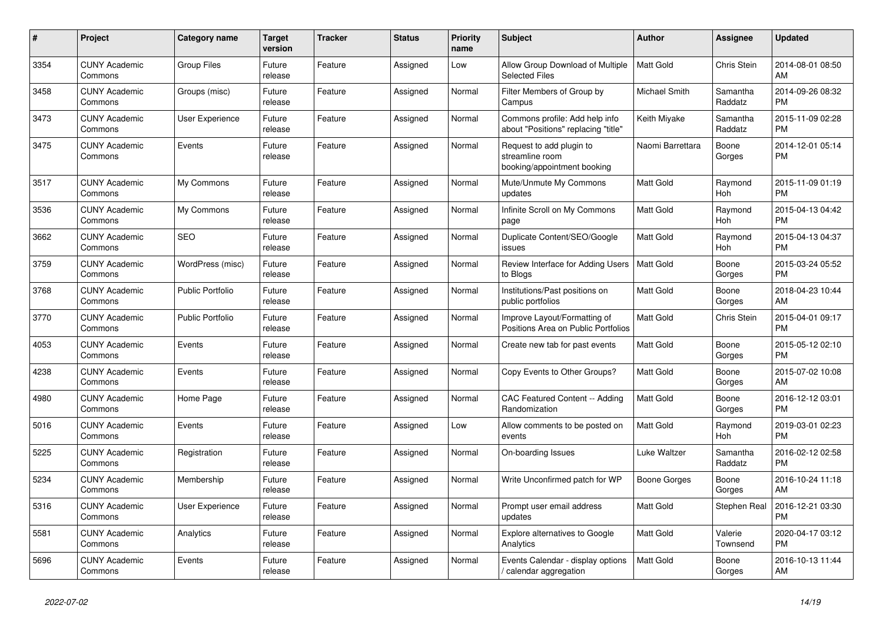| #    | <b>Project</b>                  | Category name           | <b>Target</b><br>version | <b>Tracker</b> | <b>Status</b> | Priority<br>name | <b>Subject</b>                                                             | <b>Author</b>    | Assignee            | <b>Updated</b>                |
|------|---------------------------------|-------------------------|--------------------------|----------------|---------------|------------------|----------------------------------------------------------------------------|------------------|---------------------|-------------------------------|
| 3354 | <b>CUNY Academic</b><br>Commons | <b>Group Files</b>      | Future<br>release        | Feature        | Assigned      | Low              | Allow Group Download of Multiple<br><b>Selected Files</b>                  | <b>Matt Gold</b> | Chris Stein         | 2014-08-01 08:50<br>AM        |
| 3458 | <b>CUNY Academic</b><br>Commons | Groups (misc)           | Future<br>release        | Feature        | Assigned      | Normal           | Filter Members of Group by<br>Campus                                       | Michael Smith    | Samantha<br>Raddatz | 2014-09-26 08:32<br><b>PM</b> |
| 3473 | <b>CUNY Academic</b><br>Commons | User Experience         | Future<br>release        | Feature        | Assigned      | Normal           | Commons profile: Add help info<br>about "Positions" replacing "title"      | Keith Miyake     | Samantha<br>Raddatz | 2015-11-09 02:28<br><b>PM</b> |
| 3475 | <b>CUNY Academic</b><br>Commons | Events                  | Future<br>release        | Feature        | Assigned      | Normal           | Request to add plugin to<br>streamline room<br>booking/appointment booking | Naomi Barrettara | Boone<br>Gorges     | 2014-12-01 05:14<br><b>PM</b> |
| 3517 | <b>CUNY Academic</b><br>Commons | My Commons              | Future<br>release        | Feature        | Assigned      | Normal           | Mute/Unmute My Commons<br>updates                                          | Matt Gold        | Raymond<br>Hoh      | 2015-11-09 01:19<br><b>PM</b> |
| 3536 | <b>CUNY Academic</b><br>Commons | My Commons              | Future<br>release        | Feature        | Assigned      | Normal           | Infinite Scroll on My Commons<br>page                                      | Matt Gold        | Raymond<br>Hoh      | 2015-04-13 04:42<br><b>PM</b> |
| 3662 | <b>CUNY Academic</b><br>Commons | <b>SEO</b>              | Future<br>release        | Feature        | Assigned      | Normal           | Duplicate Content/SEO/Google<br>issues                                     | <b>Matt Gold</b> | Raymond<br>Hoh      | 2015-04-13 04:37<br><b>PM</b> |
| 3759 | <b>CUNY Academic</b><br>Commons | WordPress (misc)        | Future<br>release        | Feature        | Assigned      | Normal           | Review Interface for Adding Users<br>to Blogs                              | <b>Matt Gold</b> | Boone<br>Gorges     | 2015-03-24 05:52<br><b>PM</b> |
| 3768 | <b>CUNY Academic</b><br>Commons | <b>Public Portfolio</b> | Future<br>release        | Feature        | Assigned      | Normal           | Institutions/Past positions on<br>public portfolios                        | Matt Gold        | Boone<br>Gorges     | 2018-04-23 10:44<br>AM        |
| 3770 | <b>CUNY Academic</b><br>Commons | <b>Public Portfolio</b> | Future<br>release        | Feature        | Assigned      | Normal           | Improve Layout/Formatting of<br>Positions Area on Public Portfolios        | <b>Matt Gold</b> | <b>Chris Stein</b>  | 2015-04-01 09:17<br><b>PM</b> |
| 4053 | <b>CUNY Academic</b><br>Commons | Events                  | Future<br>release        | Feature        | Assigned      | Normal           | Create new tab for past events                                             | Matt Gold        | Boone<br>Gorges     | 2015-05-12 02:10<br><b>PM</b> |
| 4238 | <b>CUNY Academic</b><br>Commons | Events                  | Future<br>release        | Feature        | Assigned      | Normal           | Copy Events to Other Groups?                                               | Matt Gold        | Boone<br>Gorges     | 2015-07-02 10:08<br>AM        |
| 4980 | <b>CUNY Academic</b><br>Commons | Home Page               | Future<br>release        | Feature        | Assigned      | Normal           | CAC Featured Content -- Adding<br>Randomization                            | <b>Matt Gold</b> | Boone<br>Gorges     | 2016-12-12 03:01<br><b>PM</b> |
| 5016 | <b>CUNY Academic</b><br>Commons | Events                  | Future<br>release        | Feature        | Assigned      | Low              | Allow comments to be posted on<br>events                                   | <b>Matt Gold</b> | Raymond<br>Hoh      | 2019-03-01 02:23<br><b>PM</b> |
| 5225 | <b>CUNY Academic</b><br>Commons | Registration            | Future<br>release        | Feature        | Assigned      | Normal           | On-boarding Issues                                                         | Luke Waltzer     | Samantha<br>Raddatz | 2016-02-12 02:58<br><b>PM</b> |
| 5234 | <b>CUNY Academic</b><br>Commons | Membership              | Future<br>release        | Feature        | Assigned      | Normal           | Write Unconfirmed patch for WP                                             | Boone Gorges     | Boone<br>Gorges     | 2016-10-24 11:18<br>AM        |
| 5316 | <b>CUNY Academic</b><br>Commons | User Experience         | Future<br>release        | Feature        | Assigned      | Normal           | Prompt user email address<br>updates                                       | Matt Gold        | Stephen Real        | 2016-12-21 03:30<br><b>PM</b> |
| 5581 | <b>CUNY Academic</b><br>Commons | Analytics               | Future<br>release        | Feature        | Assigned      | Normal           | <b>Explore alternatives to Google</b><br>Analytics                         | <b>Matt Gold</b> | Valerie<br>Townsend | 2020-04-17 03:12<br><b>PM</b> |
| 5696 | <b>CUNY Academic</b><br>Commons | Events                  | Future<br>release        | Feature        | Assigned      | Normal           | Events Calendar - display options<br>/ calendar aggregation                | <b>Matt Gold</b> | Boone<br>Gorges     | 2016-10-13 11:44<br>AM        |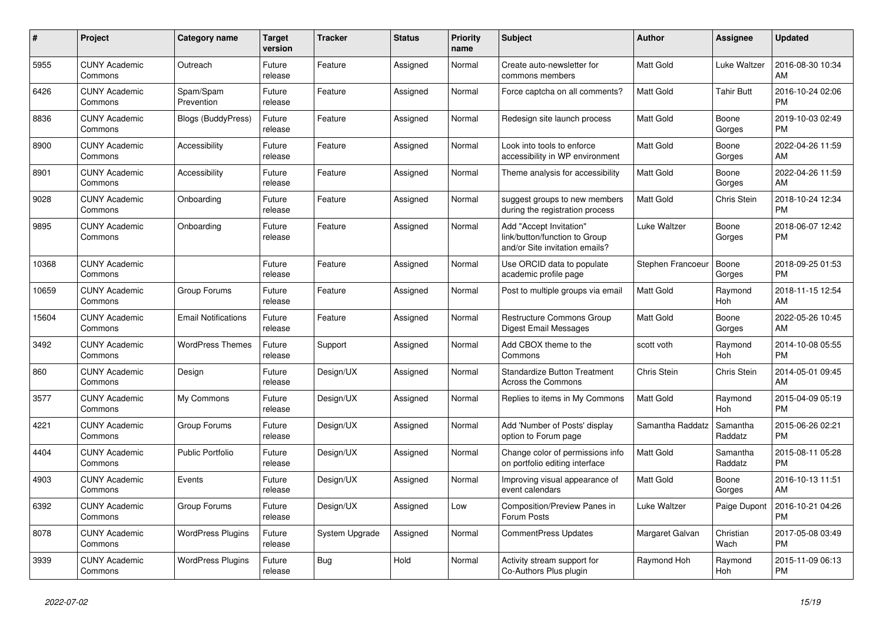| $\#$  | Project                         | <b>Category name</b>       | <b>Target</b><br>version | <b>Tracker</b> | <b>Status</b> | Priority<br>name | <b>Subject</b>                                                                             | <b>Author</b>     | <b>Assignee</b>     | <b>Updated</b>                |
|-------|---------------------------------|----------------------------|--------------------------|----------------|---------------|------------------|--------------------------------------------------------------------------------------------|-------------------|---------------------|-------------------------------|
| 5955  | <b>CUNY Academic</b><br>Commons | Outreach                   | Future<br>release        | Feature        | Assigned      | Normal           | Create auto-newsletter for<br>commons members                                              | Matt Gold         | Luke Waltzer        | 2016-08-30 10:34<br>AM        |
| 6426  | <b>CUNY Academic</b><br>Commons | Spam/Spam<br>Prevention    | Future<br>release        | Feature        | Assigned      | Normal           | Force captcha on all comments?                                                             | <b>Matt Gold</b>  | <b>Tahir Butt</b>   | 2016-10-24 02:06<br><b>PM</b> |
| 8836  | <b>CUNY Academic</b><br>Commons | <b>Blogs (BuddyPress)</b>  | Future<br>release        | Feature        | Assigned      | Normal           | Redesign site launch process                                                               | <b>Matt Gold</b>  | Boone<br>Gorges     | 2019-10-03 02:49<br><b>PM</b> |
| 8900  | <b>CUNY Academic</b><br>Commons | Accessibility              | Future<br>release        | Feature        | Assigned      | Normal           | Look into tools to enforce<br>accessibility in WP environment                              | Matt Gold         | Boone<br>Gorges     | 2022-04-26 11:59<br>AM        |
| 8901  | <b>CUNY Academic</b><br>Commons | Accessibility              | Future<br>release        | Feature        | Assigned      | Normal           | Theme analysis for accessibility                                                           | Matt Gold         | Boone<br>Gorges     | 2022-04-26 11:59<br>AM        |
| 9028  | <b>CUNY Academic</b><br>Commons | Onboarding                 | Future<br>release        | Feature        | Assigned      | Normal           | suggest groups to new members<br>during the registration process                           | <b>Matt Gold</b>  | <b>Chris Stein</b>  | 2018-10-24 12:34<br><b>PM</b> |
| 9895  | <b>CUNY Academic</b><br>Commons | Onboarding                 | Future<br>release        | Feature        | Assigned      | Normal           | Add "Accept Invitation"<br>link/button/function to Group<br>and/or Site invitation emails? | Luke Waltzer      | Boone<br>Gorges     | 2018-06-07 12:42<br><b>PM</b> |
| 10368 | <b>CUNY Academic</b><br>Commons |                            | Future<br>release        | Feature        | Assigned      | Normal           | Use ORCID data to populate<br>academic profile page                                        | Stephen Francoeur | Boone<br>Gorges     | 2018-09-25 01:53<br><b>PM</b> |
| 10659 | <b>CUNY Academic</b><br>Commons | Group Forums               | Future<br>release        | Feature        | Assigned      | Normal           | Post to multiple groups via email                                                          | <b>Matt Gold</b>  | Raymond<br>Hoh      | 2018-11-15 12:54<br>AM        |
| 15604 | <b>CUNY Academic</b><br>Commons | <b>Email Notifications</b> | Future<br>release        | Feature        | Assigned      | Normal           | <b>Restructure Commons Group</b><br>Digest Email Messages                                  | Matt Gold         | Boone<br>Gorges     | 2022-05-26 10:45<br>AM        |
| 3492  | <b>CUNY Academic</b><br>Commons | <b>WordPress Themes</b>    | Future<br>release        | Support        | Assigned      | Normal           | Add CBOX theme to the<br>Commons                                                           | scott voth        | Raymond<br>Hoh      | 2014-10-08 05:55<br><b>PM</b> |
| 860   | <b>CUNY Academic</b><br>Commons | Design                     | Future<br>release        | Design/UX      | Assigned      | Normal           | <b>Standardize Button Treatment</b><br><b>Across the Commons</b>                           | Chris Stein       | Chris Stein         | 2014-05-01 09:45<br>AM        |
| 3577  | <b>CUNY Academic</b><br>Commons | My Commons                 | Future<br>release        | Design/UX      | Assigned      | Normal           | Replies to items in My Commons                                                             | Matt Gold         | Raymond<br>Hoh      | 2015-04-09 05:19<br><b>PM</b> |
| 4221  | <b>CUNY Academic</b><br>Commons | Group Forums               | Future<br>release        | Design/UX      | Assigned      | Normal           | Add 'Number of Posts' display<br>option to Forum page                                      | Samantha Raddatz  | Samantha<br>Raddatz | 2015-06-26 02:21<br><b>PM</b> |
| 4404  | <b>CUNY Academic</b><br>Commons | <b>Public Portfolio</b>    | Future<br>release        | Design/UX      | Assigned      | Normal           | Change color of permissions info<br>on portfolio editing interface                         | <b>Matt Gold</b>  | Samantha<br>Raddatz | 2015-08-11 05:28<br><b>PM</b> |
| 4903  | <b>CUNY Academic</b><br>Commons | Events                     | Future<br>release        | Design/UX      | Assigned      | Normal           | Improving visual appearance of<br>event calendars                                          | Matt Gold         | Boone<br>Gorges     | 2016-10-13 11:51<br>AM        |
| 6392  | <b>CUNY Academic</b><br>Commons | Group Forums               | Future<br>release        | Design/UX      | Assigned      | Low              | Composition/Preview Panes in<br>Forum Posts                                                | Luke Waltzer      | Paige Dupont        | 2016-10-21 04:26<br><b>PM</b> |
| 8078  | <b>CUNY Academic</b><br>Commons | <b>WordPress Plugins</b>   | Future<br>release        | System Upgrade | Assigned      | Normal           | <b>CommentPress Updates</b>                                                                | Margaret Galvan   | Christian<br>Wach   | 2017-05-08 03:49<br><b>PM</b> |
| 3939  | <b>CUNY Academic</b><br>Commons | <b>WordPress Plugins</b>   | Future<br>release        | Bug            | Hold          | Normal           | Activity stream support for<br>Co-Authors Plus plugin                                      | Raymond Hoh       | Raymond<br>Hoh      | 2015-11-09 06:13<br><b>PM</b> |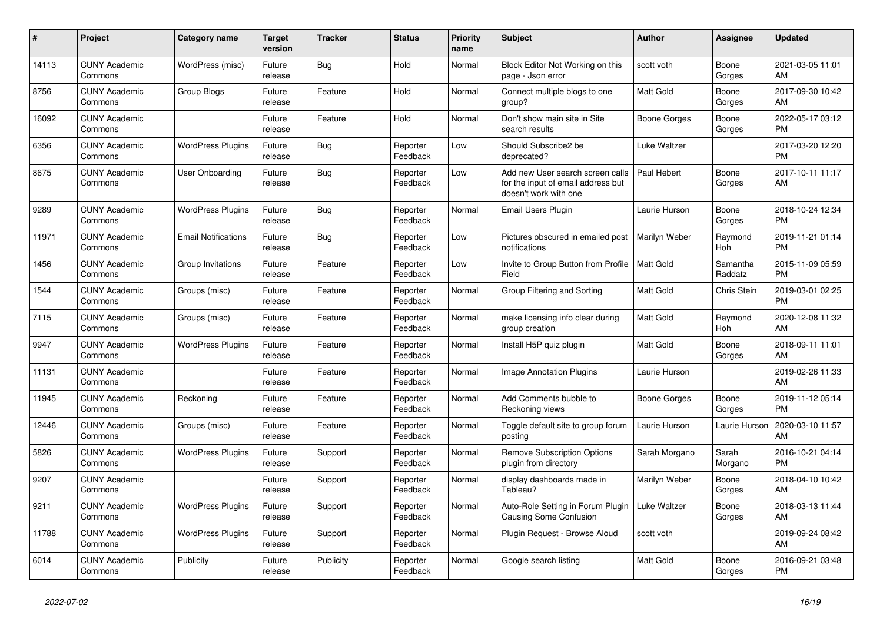| #     | Project                         | Category name              | <b>Target</b><br>version | <b>Tracker</b> | <b>Status</b>        | <b>Priority</b><br>name | <b>Subject</b>                                                                                  | <b>Author</b>    | <b>Assignee</b>     | <b>Updated</b>                |
|-------|---------------------------------|----------------------------|--------------------------|----------------|----------------------|-------------------------|-------------------------------------------------------------------------------------------------|------------------|---------------------|-------------------------------|
| 14113 | <b>CUNY Academic</b><br>Commons | WordPress (misc)           | Future<br>release        | Bug            | Hold                 | Normal                  | Block Editor Not Working on this<br>page - Json error                                           | scott voth       | Boone<br>Gorges     | 2021-03-05 11:01<br>AM        |
| 8756  | <b>CUNY Academic</b><br>Commons | Group Blogs                | Future<br>release        | Feature        | Hold                 | Normal                  | Connect multiple blogs to one<br>group?                                                         | Matt Gold        | Boone<br>Gorges     | 2017-09-30 10:42<br>AM        |
| 16092 | <b>CUNY Academic</b><br>Commons |                            | Future<br>release        | Feature        | Hold                 | Normal                  | Don't show main site in Site<br>search results                                                  | Boone Gorges     | Boone<br>Gorges     | 2022-05-17 03:12<br><b>PM</b> |
| 6356  | <b>CUNY Academic</b><br>Commons | <b>WordPress Plugins</b>   | Future<br>release        | Bug            | Reporter<br>Feedback | Low                     | Should Subscribe2 be<br>deprecated?                                                             | Luke Waltzer     |                     | 2017-03-20 12:20<br><b>PM</b> |
| 8675  | <b>CUNY Academic</b><br>Commons | User Onboarding            | Future<br>release        | Bug            | Reporter<br>Feedback | Low                     | Add new User search screen calls<br>for the input of email address but<br>doesn't work with one | Paul Hebert      | Boone<br>Gorges     | 2017-10-11 11:17<br>AM        |
| 9289  | <b>CUNY Academic</b><br>Commons | <b>WordPress Plugins</b>   | Future<br>release        | Bug            | Reporter<br>Feedback | Normal                  | Email Users Plugin                                                                              | Laurie Hurson    | Boone<br>Gorges     | 2018-10-24 12:34<br><b>PM</b> |
| 11971 | <b>CUNY Academic</b><br>Commons | <b>Email Notifications</b> | Future<br>release        | Bug            | Reporter<br>Feedback | Low                     | Pictures obscured in emailed post<br>notifications                                              | Marilyn Weber    | Raymond<br>Hoh      | 2019-11-21 01:14<br><b>PM</b> |
| 1456  | <b>CUNY Academic</b><br>Commons | Group Invitations          | Future<br>release        | Feature        | Reporter<br>Feedback | Low                     | Invite to Group Button from Profile<br>Field                                                    | <b>Matt Gold</b> | Samantha<br>Raddatz | 2015-11-09 05:59<br><b>PM</b> |
| 1544  | <b>CUNY Academic</b><br>Commons | Groups (misc)              | Future<br>release        | Feature        | Reporter<br>Feedback | Normal                  | Group Filtering and Sorting                                                                     | <b>Matt Gold</b> | <b>Chris Stein</b>  | 2019-03-01 02:25<br><b>PM</b> |
| 7115  | <b>CUNY Academic</b><br>Commons | Groups (misc)              | Future<br>release        | Feature        | Reporter<br>Feedback | Normal                  | make licensing info clear during<br>group creation                                              | <b>Matt Gold</b> | Raymond<br>Hoh      | 2020-12-08 11:32<br>AM        |
| 9947  | <b>CUNY Academic</b><br>Commons | <b>WordPress Plugins</b>   | Future<br>release        | Feature        | Reporter<br>Feedback | Normal                  | Install H5P quiz plugin                                                                         | <b>Matt Gold</b> | Boone<br>Gorges     | 2018-09-11 11:01<br>AM        |
| 11131 | <b>CUNY Academic</b><br>Commons |                            | Future<br>release        | Feature        | Reporter<br>Feedback | Normal                  | Image Annotation Plugins                                                                        | Laurie Hurson    |                     | 2019-02-26 11:33<br>AM        |
| 11945 | <b>CUNY Academic</b><br>Commons | Reckoning                  | Future<br>release        | Feature        | Reporter<br>Feedback | Normal                  | Add Comments bubble to<br>Reckoning views                                                       | Boone Gorges     | Boone<br>Gorges     | 2019-11-12 05:14<br><b>PM</b> |
| 12446 | <b>CUNY Academic</b><br>Commons | Groups (misc)              | Future<br>release        | Feature        | Reporter<br>Feedback | Normal                  | Toggle default site to group forum<br>posting                                                   | Laurie Hurson    | Laurie Hurson       | 2020-03-10 11:57<br>AM        |
| 5826  | <b>CUNY Academic</b><br>Commons | <b>WordPress Plugins</b>   | Future<br>release        | Support        | Reporter<br>Feedback | Normal                  | <b>Remove Subscription Options</b><br>plugin from directory                                     | Sarah Morgano    | Sarah<br>Morgano    | 2016-10-21 04:14<br><b>PM</b> |
| 9207  | <b>CUNY Academic</b><br>Commons |                            | Future<br>release        | Support        | Reporter<br>Feedback | Normal                  | display dashboards made in<br>Tableau?                                                          | Marilyn Weber    | Boone<br>Gorges     | 2018-04-10 10:42<br>AM        |
| 9211  | <b>CUNY Academic</b><br>Commons | <b>WordPress Plugins</b>   | Future<br>release        | Support        | Reporter<br>Feedback | Normal                  | Auto-Role Setting in Forum Plugin<br><b>Causing Some Confusion</b>                              | Luke Waltzer     | Boone<br>Gorges     | 2018-03-13 11:44<br>AM        |
| 11788 | <b>CUNY Academic</b><br>Commons | <b>WordPress Plugins</b>   | Future<br>release        | Support        | Reporter<br>Feedback | Normal                  | Plugin Request - Browse Aloud                                                                   | scott voth       |                     | 2019-09-24 08:42<br>AM        |
| 6014  | <b>CUNY Academic</b><br>Commons | Publicity                  | Future<br>release        | Publicity      | Reporter<br>Feedback | Normal                  | Google search listing                                                                           | <b>Matt Gold</b> | Boone<br>Gorges     | 2016-09-21 03:48<br><b>PM</b> |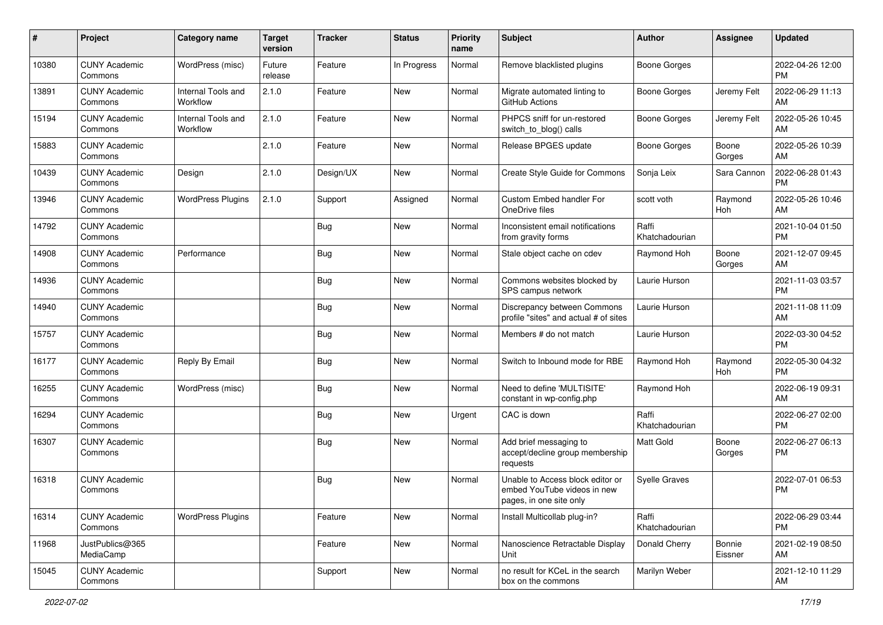| #     | Project                         | Category name                  | <b>Target</b><br>version | <b>Tracker</b> | <b>Status</b> | <b>Priority</b><br>name | <b>Subject</b>                                                                             | Author                  | <b>Assignee</b>   | <b>Updated</b>                |
|-------|---------------------------------|--------------------------------|--------------------------|----------------|---------------|-------------------------|--------------------------------------------------------------------------------------------|-------------------------|-------------------|-------------------------------|
| 10380 | <b>CUNY Academic</b><br>Commons | WordPress (misc)               | Future<br>release        | Feature        | In Progress   | Normal                  | Remove blacklisted plugins                                                                 | <b>Boone Gorges</b>     |                   | 2022-04-26 12:00<br><b>PM</b> |
| 13891 | <b>CUNY Academic</b><br>Commons | Internal Tools and<br>Workflow | 2.1.0                    | Feature        | New           | Normal                  | Migrate automated linting to<br>GitHub Actions                                             | <b>Boone Gorges</b>     | Jeremy Felt       | 2022-06-29 11:13<br>AM        |
| 15194 | <b>CUNY Academic</b><br>Commons | Internal Tools and<br>Workflow | 2.1.0                    | Feature        | New           | Normal                  | PHPCS sniff for un-restored<br>switch_to_blog() calls                                      | <b>Boone Gorges</b>     | Jeremy Felt       | 2022-05-26 10:45<br>AM        |
| 15883 | <b>CUNY Academic</b><br>Commons |                                | 2.1.0                    | Feature        | <b>New</b>    | Normal                  | Release BPGES update                                                                       | <b>Boone Gorges</b>     | Boone<br>Gorges   | 2022-05-26 10:39<br>AM        |
| 10439 | <b>CUNY Academic</b><br>Commons | Design                         | 2.1.0                    | Design/UX      | <b>New</b>    | Normal                  | Create Style Guide for Commons                                                             | Sonja Leix              | Sara Cannon       | 2022-06-28 01:43<br><b>PM</b> |
| 13946 | <b>CUNY Academic</b><br>Commons | <b>WordPress Plugins</b>       | 2.1.0                    | Support        | Assigned      | Normal                  | Custom Embed handler For<br>OneDrive files                                                 | scott voth              | Raymond<br>Hoh    | 2022-05-26 10:46<br>AM        |
| 14792 | <b>CUNY Academic</b><br>Commons |                                |                          | Bug            | <b>New</b>    | Normal                  | Inconsistent email notifications<br>from gravity forms                                     | Raffi<br>Khatchadourian |                   | 2021-10-04 01:50<br><b>PM</b> |
| 14908 | <b>CUNY Academic</b><br>Commons | Performance                    |                          | Bug            | <b>New</b>    | Normal                  | Stale object cache on cdev                                                                 | Raymond Hoh             | Boone<br>Gorges   | 2021-12-07 09:45<br>AM        |
| 14936 | <b>CUNY Academic</b><br>Commons |                                |                          | Bug            | New           | Normal                  | Commons websites blocked by<br>SPS campus network                                          | Laurie Hurson           |                   | 2021-11-03 03:57<br><b>PM</b> |
| 14940 | <b>CUNY Academic</b><br>Commons |                                |                          | Bug            | <b>New</b>    | Normal                  | Discrepancy between Commons<br>profile "sites" and actual # of sites                       | Laurie Hurson           |                   | 2021-11-08 11:09<br>AM        |
| 15757 | <b>CUNY Academic</b><br>Commons |                                |                          | Bug            | New           | Normal                  | Members # do not match                                                                     | Laurie Hurson           |                   | 2022-03-30 04:52<br><b>PM</b> |
| 16177 | <b>CUNY Academic</b><br>Commons | Reply By Email                 |                          | Bug            | <b>New</b>    | Normal                  | Switch to Inbound mode for RBE                                                             | Raymond Hoh             | Raymond<br>Hoh    | 2022-05-30 04:32<br><b>PM</b> |
| 16255 | <b>CUNY Academic</b><br>Commons | WordPress (misc)               |                          | Bug            | <b>New</b>    | Normal                  | Need to define 'MULTISITE'<br>constant in wp-config.php                                    | Raymond Hoh             |                   | 2022-06-19 09:31<br>AM        |
| 16294 | <b>CUNY Academic</b><br>Commons |                                |                          | Bug            | <b>New</b>    | Urgent                  | CAC is down                                                                                | Raffi<br>Khatchadourian |                   | 2022-06-27 02:00<br><b>PM</b> |
| 16307 | <b>CUNY Academic</b><br>Commons |                                |                          | Bug            | <b>New</b>    | Normal                  | Add brief messaging to<br>accept/decline group membership<br>requests                      | <b>Matt Gold</b>        | Boone<br>Gorges   | 2022-06-27 06:13<br><b>PM</b> |
| 16318 | <b>CUNY Academic</b><br>Commons |                                |                          | Bug            | <b>New</b>    | Normal                  | Unable to Access block editor or<br>embed YouTube videos in new<br>pages, in one site only | <b>Syelle Graves</b>    |                   | 2022-07-01 06:53<br><b>PM</b> |
| 16314 | <b>CUNY Academic</b><br>Commons | <b>WordPress Plugins</b>       |                          | Feature        | New           | Normal                  | Install Multicollab plug-in?                                                               | Raffi<br>Khatchadourian |                   | 2022-06-29 03:44<br>PM.       |
| 11968 | JustPublics@365<br>MediaCamp    |                                |                          | Feature        | New           | Normal                  | Nanoscience Retractable Display<br>Unit                                                    | Donald Cherry           | Bonnie<br>Eissner | 2021-02-19 08:50<br>AM        |
| 15045 | <b>CUNY Academic</b><br>Commons |                                |                          | Support        | New           | Normal                  | no result for KCeL in the search<br>box on the commons                                     | Marilyn Weber           |                   | 2021-12-10 11:29<br>AM        |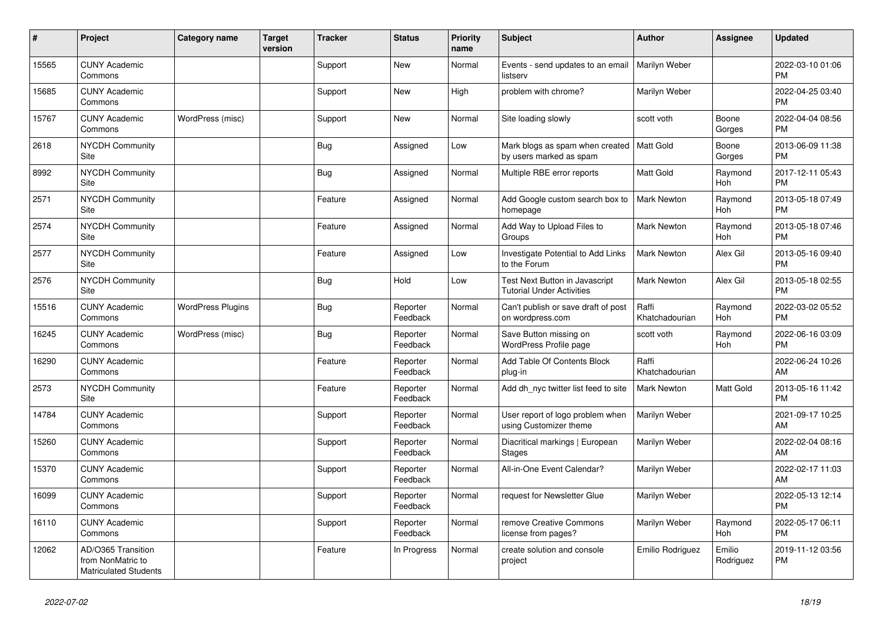| #     | Project                                                                 | <b>Category name</b>     | <b>Target</b><br>version | <b>Tracker</b> | <b>Status</b>        | Priority<br>name | <b>Subject</b>                                                         | <b>Author</b>           | Assignee              | <b>Updated</b>                |
|-------|-------------------------------------------------------------------------|--------------------------|--------------------------|----------------|----------------------|------------------|------------------------------------------------------------------------|-------------------------|-----------------------|-------------------------------|
| 15565 | <b>CUNY Academic</b><br>Commons                                         |                          |                          | Support        | <b>New</b>           | Normal           | Events - send updates to an email<br>listserv                          | Marilyn Weber           |                       | 2022-03-10 01:06<br><b>PM</b> |
| 15685 | <b>CUNY Academic</b><br>Commons                                         |                          |                          | Support        | <b>New</b>           | High             | problem with chrome?                                                   | Marilyn Weber           |                       | 2022-04-25 03:40<br><b>PM</b> |
| 15767 | <b>CUNY Academic</b><br>Commons                                         | WordPress (misc)         |                          | Support        | New                  | Normal           | Site loading slowly                                                    | scott voth              | Boone<br>Gorges       | 2022-04-04 08:56<br><b>PM</b> |
| 2618  | <b>NYCDH Community</b><br>Site                                          |                          |                          | Bug            | Assigned             | Low              | Mark blogs as spam when created   Matt Gold<br>by users marked as spam |                         | Boone<br>Gorges       | 2013-06-09 11:38<br><b>PM</b> |
| 8992  | NYCDH Community<br>Site                                                 |                          |                          | Bug            | Assigned             | Normal           | Multiple RBE error reports                                             | <b>Matt Gold</b>        | Raymond<br>Hoh        | 2017-12-11 05:43<br><b>PM</b> |
| 2571  | <b>NYCDH Community</b><br>Site                                          |                          |                          | Feature        | Assigned             | Normal           | Add Google custom search box to<br>homepage                            | Mark Newton             | Raymond<br>Hoh        | 2013-05-18 07:49<br><b>PM</b> |
| 2574  | <b>NYCDH Community</b><br>Site                                          |                          |                          | Feature        | Assigned             | Normal           | Add Way to Upload Files to<br>Groups                                   | Mark Newton             | Raymond<br>Hoh        | 2013-05-18 07:46<br><b>PM</b> |
| 2577  | NYCDH Community<br>Site                                                 |                          |                          | Feature        | Assigned             | Low              | Investigate Potential to Add Links<br>to the Forum                     | <b>Mark Newton</b>      | Alex Gil              | 2013-05-16 09:40<br><b>PM</b> |
| 2576  | <b>NYCDH Community</b><br>Site                                          |                          |                          | Bug            | Hold                 | Low              | Test Next Button in Javascript<br><b>Tutorial Under Activities</b>     | <b>Mark Newton</b>      | Alex Gil              | 2013-05-18 02:55<br><b>PM</b> |
| 15516 | <b>CUNY Academic</b><br>Commons                                         | <b>WordPress Plugins</b> |                          | Bug            | Reporter<br>Feedback | Normal           | Can't publish or save draft of post<br>on wordpress.com                | Raffi<br>Khatchadourian | Raymond<br>Hoh        | 2022-03-02 05:52<br><b>PM</b> |
| 16245 | <b>CUNY Academic</b><br>Commons                                         | WordPress (misc)         |                          | Bug            | Reporter<br>Feedback | Normal           | Save Button missing on<br><b>WordPress Profile page</b>                | scott voth              | Raymond<br>Hoh        | 2022-06-16 03:09<br><b>PM</b> |
| 16290 | <b>CUNY Academic</b><br>Commons                                         |                          |                          | Feature        | Reporter<br>Feedback | Normal           | Add Table Of Contents Block<br>plug-in                                 | Raffi<br>Khatchadourian |                       | 2022-06-24 10:26<br>AM        |
| 2573  | <b>NYCDH Community</b><br>Site                                          |                          |                          | Feature        | Reporter<br>Feedback | Normal           | Add dh nyc twitter list feed to site                                   | <b>Mark Newton</b>      | Matt Gold             | 2013-05-16 11:42<br><b>PM</b> |
| 14784 | <b>CUNY Academic</b><br>Commons                                         |                          |                          | Support        | Reporter<br>Feedback | Normal           | User report of logo problem when<br>using Customizer theme             | Marilyn Weber           |                       | 2021-09-17 10:25<br>AM        |
| 15260 | <b>CUNY Academic</b><br>Commons                                         |                          |                          | Support        | Reporter<br>Feedback | Normal           | Diacritical markings   European<br><b>Stages</b>                       | Marilyn Weber           |                       | 2022-02-04 08:16<br>AM        |
| 15370 | <b>CUNY Academic</b><br>Commons                                         |                          |                          | Support        | Reporter<br>Feedback | Normal           | All-in-One Event Calendar?                                             | Marilyn Weber           |                       | 2022-02-17 11:03<br>AM        |
| 16099 | <b>CUNY Academic</b><br>Commons                                         |                          |                          | Support        | Reporter<br>Feedback | Normal           | request for Newsletter Glue                                            | Marilyn Weber           |                       | 2022-05-13 12:14<br><b>PM</b> |
| 16110 | <b>CUNY Academic</b><br>Commons                                         |                          |                          | Support        | Reporter<br>Feedback | Normal           | remove Creative Commons<br>license from pages?                         | Marilyn Weber           | Raymond<br><b>Hoh</b> | 2022-05-17 06:11<br><b>PM</b> |
| 12062 | AD/O365 Transition<br>from NonMatric to<br><b>Matriculated Students</b> |                          |                          | Feature        | In Progress          | Normal           | create solution and console<br>project                                 | Emilio Rodriguez        | Emilio<br>Rodriguez   | 2019-11-12 03:56<br><b>PM</b> |